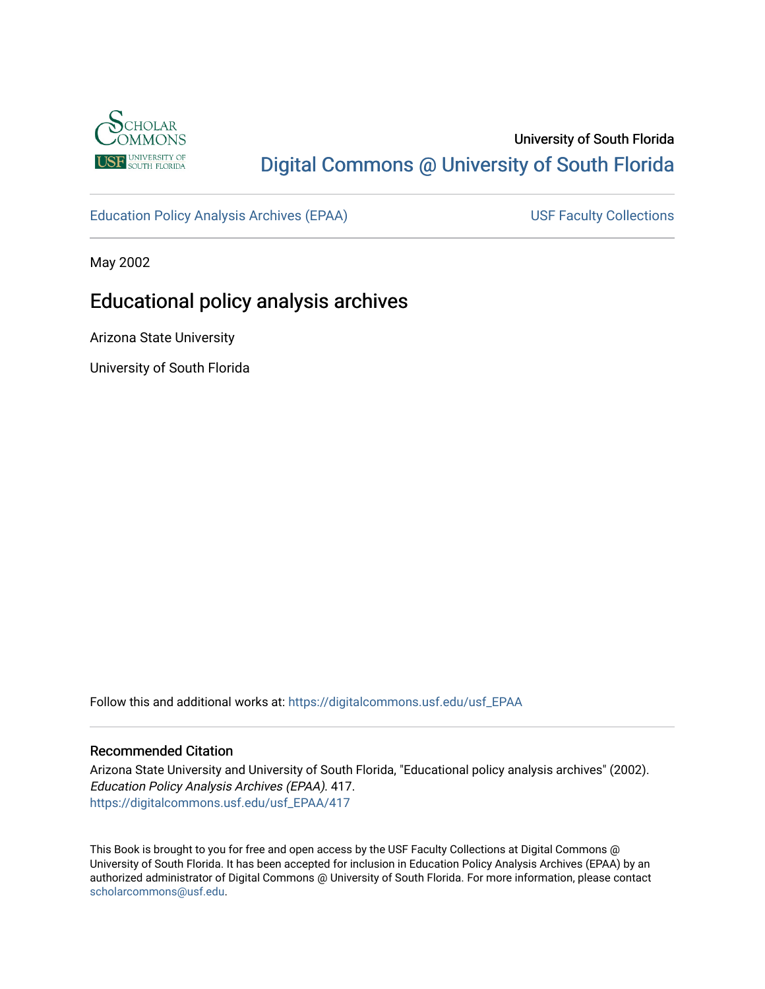

# University of South Florida [Digital Commons @ University of South Florida](https://digitalcommons.usf.edu/)

[Education Policy Analysis Archives \(EPAA\)](https://digitalcommons.usf.edu/usf_EPAA) USF Faculty Collections

May 2002

# Educational policy analysis archives

Arizona State University

University of South Florida

Follow this and additional works at: [https://digitalcommons.usf.edu/usf\\_EPAA](https://digitalcommons.usf.edu/usf_EPAA?utm_source=digitalcommons.usf.edu%2Fusf_EPAA%2F417&utm_medium=PDF&utm_campaign=PDFCoverPages)

#### Recommended Citation

Arizona State University and University of South Florida, "Educational policy analysis archives" (2002). Education Policy Analysis Archives (EPAA). 417. [https://digitalcommons.usf.edu/usf\\_EPAA/417](https://digitalcommons.usf.edu/usf_EPAA/417?utm_source=digitalcommons.usf.edu%2Fusf_EPAA%2F417&utm_medium=PDF&utm_campaign=PDFCoverPages)

This Book is brought to you for free and open access by the USF Faculty Collections at Digital Commons @ University of South Florida. It has been accepted for inclusion in Education Policy Analysis Archives (EPAA) by an authorized administrator of Digital Commons @ University of South Florida. For more information, please contact [scholarcommons@usf.edu.](mailto:scholarcommons@usf.edu)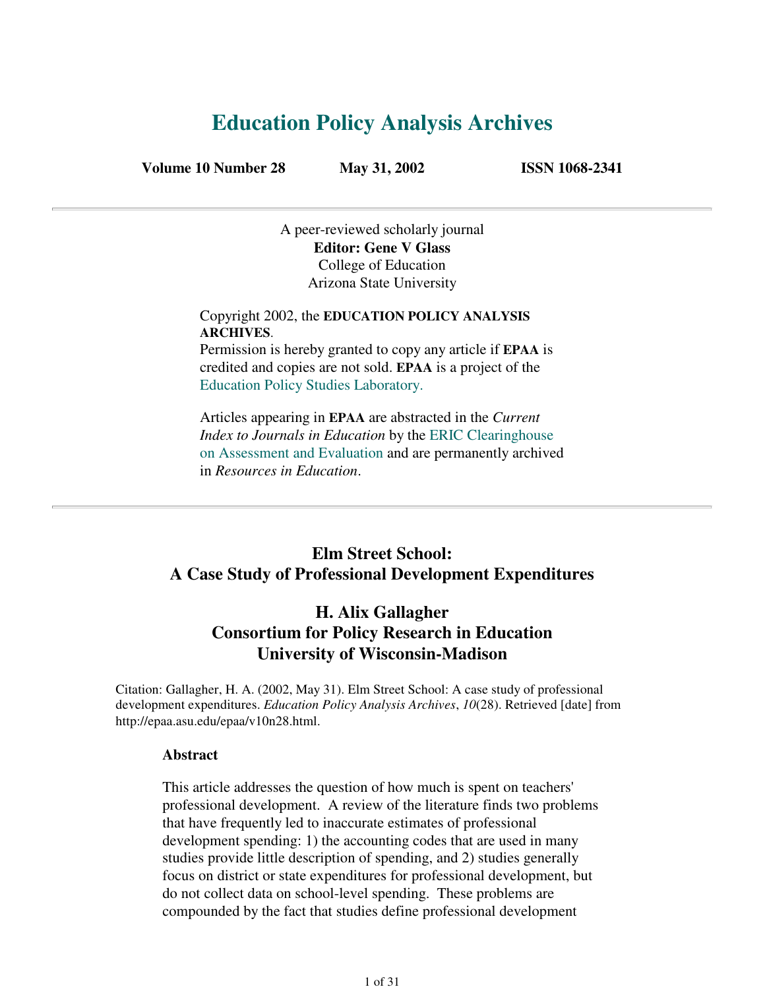# **Education Policy Analysis Archives**

**Volume 10 Number 28 May 31, 2002 ISSN 1068-2341**

A peer-reviewed scholarly journal **Editor: Gene V Glass** College of Education Arizona State University

Copyright 2002, the **EDUCATION POLICY ANALYSIS ARCHIVES**. Permission is hereby granted to copy any article if **EPAA** is

credited and copies are not sold. **EPAA** is a project of the Education Policy Studies Laboratory.

Articles appearing in **EPAA** are abstracted in the *Current Index to Journals in Education* by the ERIC Clearinghouse on Assessment and Evaluation and are permanently archived in *Resources in Education*.

### **Elm Street School: A Case Study of Professional Development Expenditures**

### **H. Alix Gallagher Consortium for Policy Research in Education University of Wisconsin-Madison**

Citation: Gallagher, H. A. (2002, May 31). Elm Street School: A case study of professional development expenditures. *Education Policy Analysis Archives*, *10*(28). Retrieved [date] from http://epaa.asu.edu/epaa/v10n28.html.

#### **Abstract**

This article addresses the question of how much is spent on teachers' professional development. A review of the literature finds two problems that have frequently led to inaccurate estimates of professional development spending: 1) the accounting codes that are used in many studies provide little description of spending, and 2) studies generally focus on district or state expenditures for professional development, but do not collect data on school-level spending. These problems are compounded by the fact that studies define professional development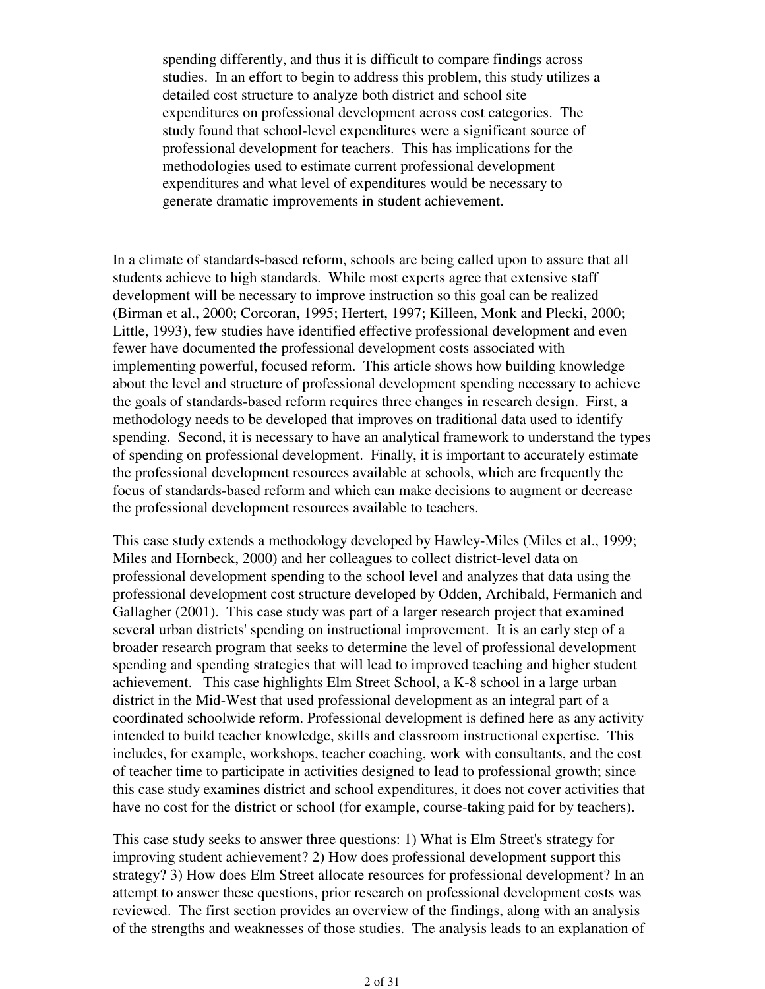spending differently, and thus it is difficult to compare findings across studies. In an effort to begin to address this problem, this study utilizes a detailed cost structure to analyze both district and school site expenditures on professional development across cost categories. The study found that school-level expenditures were a significant source of professional development for teachers. This has implications for the methodologies used to estimate current professional development expenditures and what level of expenditures would be necessary to generate dramatic improvements in student achievement.

In a climate of standards-based reform, schools are being called upon to assure that all students achieve to high standards. While most experts agree that extensive staff development will be necessary to improve instruction so this goal can be realized (Birman et al., 2000; Corcoran, 1995; Hertert, 1997; Killeen, Monk and Plecki, 2000; Little, 1993), few studies have identified effective professional development and even fewer have documented the professional development costs associated with implementing powerful, focused reform. This article shows how building knowledge about the level and structure of professional development spending necessary to achieve the goals of standards-based reform requires three changes in research design. First, a methodology needs to be developed that improves on traditional data used to identify spending. Second, it is necessary to have an analytical framework to understand the types of spending on professional development. Finally, it is important to accurately estimate the professional development resources available at schools, which are frequently the focus of standards-based reform and which can make decisions to augment or decrease the professional development resources available to teachers.

This case study extends a methodology developed by Hawley-Miles (Miles et al., 1999; Miles and Hornbeck, 2000) and her colleagues to collect district-level data on professional development spending to the school level and analyzes that data using the professional development cost structure developed by Odden, Archibald, Fermanich and Gallagher (2001). This case study was part of a larger research project that examined several urban districts' spending on instructional improvement. It is an early step of a broader research program that seeks to determine the level of professional development spending and spending strategies that will lead to improved teaching and higher student achievement. This case highlights Elm Street School, a K-8 school in a large urban district in the Mid-West that used professional development as an integral part of a coordinated schoolwide reform. Professional development is defined here as any activity intended to build teacher knowledge, skills and classroom instructional expertise. This includes, for example, workshops, teacher coaching, work with consultants, and the cost of teacher time to participate in activities designed to lead to professional growth; since this case study examines district and school expenditures, it does not cover activities that have no cost for the district or school (for example, course-taking paid for by teachers).

This case study seeks to answer three questions: 1) What is Elm Street's strategy for improving student achievement? 2) How does professional development support this strategy? 3) How does Elm Street allocate resources for professional development? In an attempt to answer these questions, prior research on professional development costs was reviewed. The first section provides an overview of the findings, along with an analysis of the strengths and weaknesses of those studies. The analysis leads to an explanation of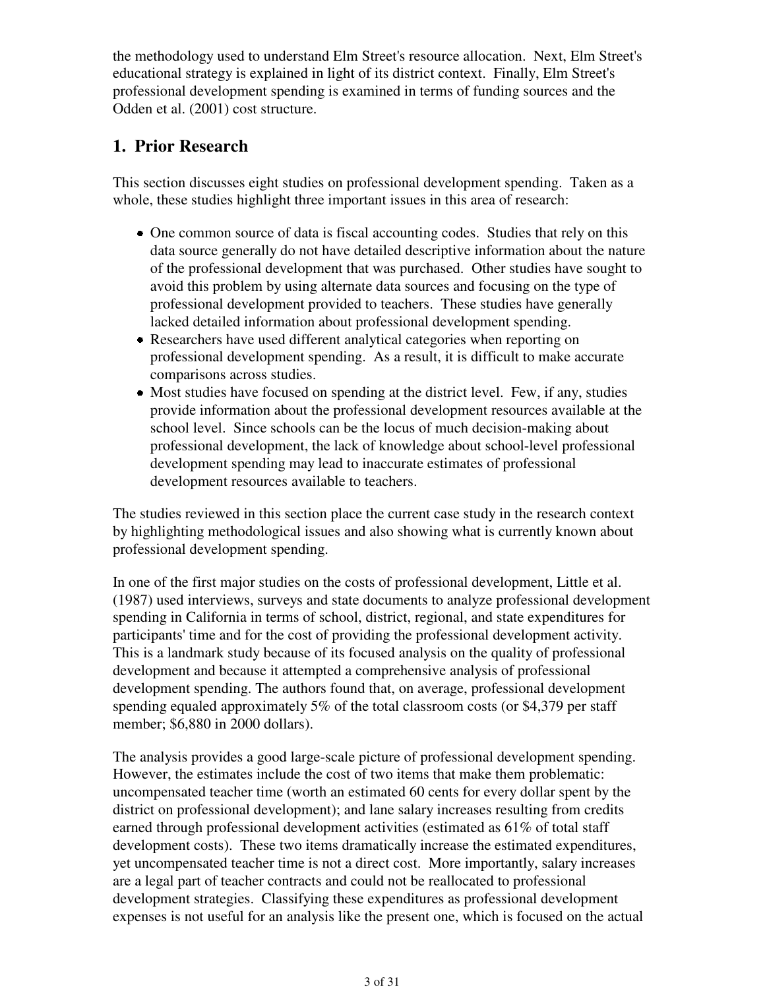the methodology used to understand Elm Street's resource allocation. Next, Elm Street's educational strategy is explained in light of its district context. Finally, Elm Street's professional development spending is examined in terms of funding sources and the Odden et al. (2001) cost structure.

### **1. Prior Research**

This section discusses eight studies on professional development spending. Taken as a whole, these studies highlight three important issues in this area of research:

- One common source of data is fiscal accounting codes. Studies that rely on this data source generally do not have detailed descriptive information about the nature of the professional development that was purchased. Other studies have sought to avoid this problem by using alternate data sources and focusing on the type of professional development provided to teachers. These studies have generally lacked detailed information about professional development spending.
- Researchers have used different analytical categories when reporting on professional development spending. As a result, it is difficult to make accurate comparisons across studies.
- Most studies have focused on spending at the district level. Few, if any, studies provide information about the professional development resources available at the school level. Since schools can be the locus of much decision-making about professional development, the lack of knowledge about school-level professional development spending may lead to inaccurate estimates of professional development resources available to teachers.

The studies reviewed in this section place the current case study in the research context by highlighting methodological issues and also showing what is currently known about professional development spending.

In one of the first major studies on the costs of professional development, Little et al. (1987) used interviews, surveys and state documents to analyze professional development spending in California in terms of school, district, regional, and state expenditures for participants' time and for the cost of providing the professional development activity. This is a landmark study because of its focused analysis on the quality of professional development and because it attempted a comprehensive analysis of professional development spending. The authors found that, on average, professional development spending equaled approximately 5% of the total classroom costs (or \$4,379 per staff member; \$6,880 in 2000 dollars).

The analysis provides a good large-scale picture of professional development spending. However, the estimates include the cost of two items that make them problematic: uncompensated teacher time (worth an estimated 60 cents for every dollar spent by the district on professional development); and lane salary increases resulting from credits earned through professional development activities (estimated as 61% of total staff development costs). These two items dramatically increase the estimated expenditures, yet uncompensated teacher time is not a direct cost. More importantly, salary increases are a legal part of teacher contracts and could not be reallocated to professional development strategies. Classifying these expenditures as professional development expenses is not useful for an analysis like the present one, which is focused on the actual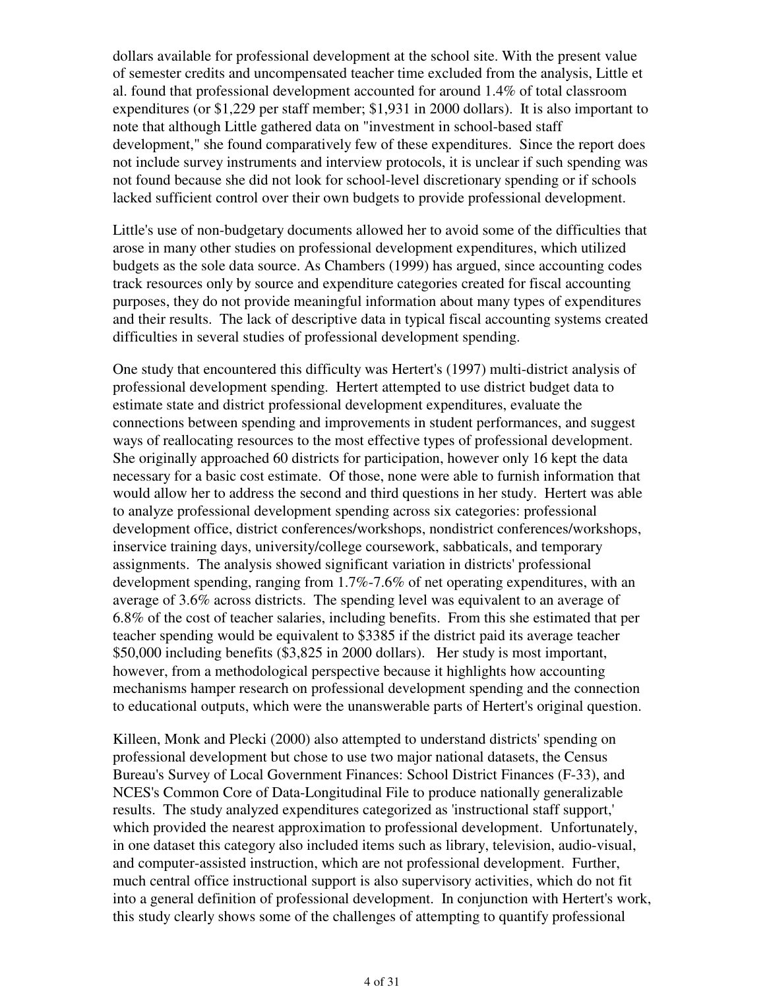dollars available for professional development at the school site. With the present value of semester credits and uncompensated teacher time excluded from the analysis, Little et al. found that professional development accounted for around 1.4% of total classroom expenditures (or \$1,229 per staff member; \$1,931 in 2000 dollars). It is also important to note that although Little gathered data on "investment in school-based staff development," she found comparatively few of these expenditures. Since the report does not include survey instruments and interview protocols, it is unclear if such spending was not found because she did not look for school-level discretionary spending or if schools lacked sufficient control over their own budgets to provide professional development.

Little's use of non-budgetary documents allowed her to avoid some of the difficulties that arose in many other studies on professional development expenditures, which utilized budgets as the sole data source. As Chambers (1999) has argued, since accounting codes track resources only by source and expenditure categories created for fiscal accounting purposes, they do not provide meaningful information about many types of expenditures and their results. The lack of descriptive data in typical fiscal accounting systems created difficulties in several studies of professional development spending.

One study that encountered this difficulty was Hertert's (1997) multi-district analysis of professional development spending. Hertert attempted to use district budget data to estimate state and district professional development expenditures, evaluate the connections between spending and improvements in student performances, and suggest ways of reallocating resources to the most effective types of professional development. She originally approached 60 districts for participation, however only 16 kept the data necessary for a basic cost estimate. Of those, none were able to furnish information that would allow her to address the second and third questions in her study. Hertert was able to analyze professional development spending across six categories: professional development office, district conferences/workshops, nondistrict conferences/workshops, inservice training days, university/college coursework, sabbaticals, and temporary assignments. The analysis showed significant variation in districts' professional development spending, ranging from 1.7%-7.6% of net operating expenditures, with an average of 3.6% across districts. The spending level was equivalent to an average of 6.8% of the cost of teacher salaries, including benefits. From this she estimated that per teacher spending would be equivalent to \$3385 if the district paid its average teacher \$50,000 including benefits (\$3,825 in 2000 dollars). Her study is most important, however, from a methodological perspective because it highlights how accounting mechanisms hamper research on professional development spending and the connection to educational outputs, which were the unanswerable parts of Hertert's original question.

Killeen, Monk and Plecki (2000) also attempted to understand districts' spending on professional development but chose to use two major national datasets, the Census Bureau's Survey of Local Government Finances: School District Finances (F-33), and NCES's Common Core of Data-Longitudinal File to produce nationally generalizable results. The study analyzed expenditures categorized as 'instructional staff support,' which provided the nearest approximation to professional development. Unfortunately, in one dataset this category also included items such as library, television, audio-visual, and computer-assisted instruction, which are not professional development. Further, much central office instructional support is also supervisory activities, which do not fit into a general definition of professional development. In conjunction with Hertert's work, this study clearly shows some of the challenges of attempting to quantify professional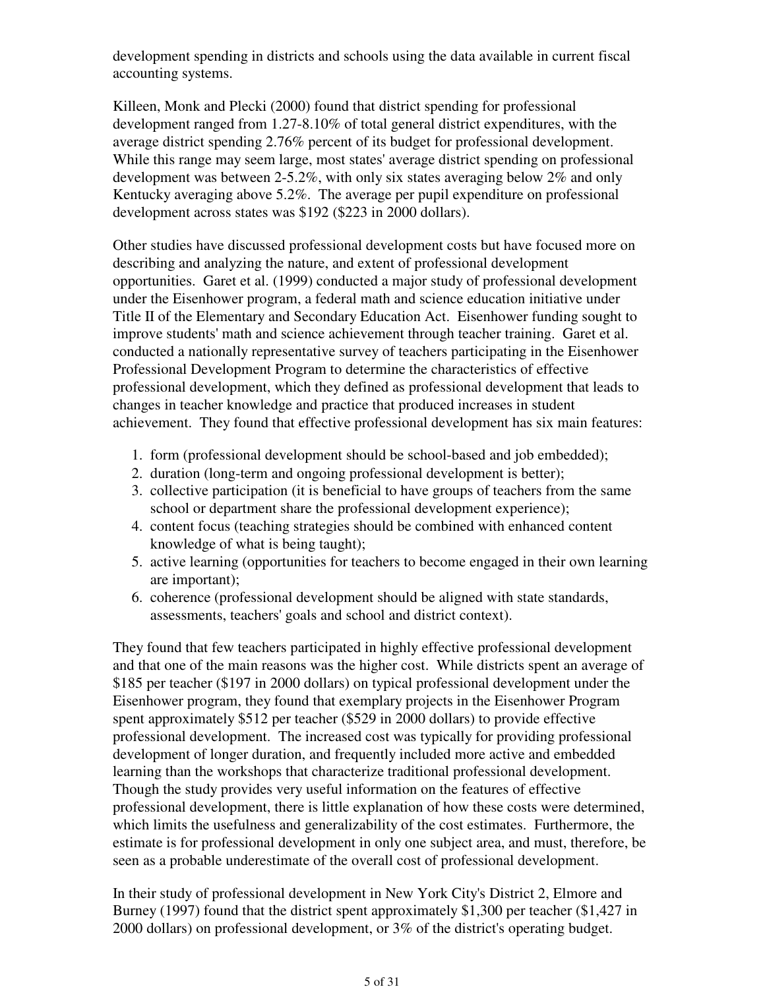development spending in districts and schools using the data available in current fiscal accounting systems.

Killeen, Monk and Plecki (2000) found that district spending for professional development ranged from 1.27-8.10% of total general district expenditures, with the average district spending 2.76% percent of its budget for professional development. While this range may seem large, most states' average district spending on professional development was between 2-5.2%, with only six states averaging below 2% and only Kentucky averaging above 5.2%. The average per pupil expenditure on professional development across states was \$192 (\$223 in 2000 dollars).

Other studies have discussed professional development costs but have focused more on describing and analyzing the nature, and extent of professional development opportunities. Garet et al. (1999) conducted a major study of professional development under the Eisenhower program, a federal math and science education initiative under Title II of the Elementary and Secondary Education Act. Eisenhower funding sought to improve students' math and science achievement through teacher training. Garet et al. conducted a nationally representative survey of teachers participating in the Eisenhower Professional Development Program to determine the characteristics of effective professional development, which they defined as professional development that leads to changes in teacher knowledge and practice that produced increases in student achievement. They found that effective professional development has six main features:

- 1. form (professional development should be school-based and job embedded);
- 2. duration (long-term and ongoing professional development is better);
- 3. collective participation (it is beneficial to have groups of teachers from the same school or department share the professional development experience);
- content focus (teaching strategies should be combined with enhanced content 4. knowledge of what is being taught);
- 5. active learning (opportunities for teachers to become engaged in their own learning are important);
- 6. coherence (professional development should be aligned with state standards, assessments, teachers' goals and school and district context).

They found that few teachers participated in highly effective professional development and that one of the main reasons was the higher cost. While districts spent an average of \$185 per teacher (\$197 in 2000 dollars) on typical professional development under the Eisenhower program, they found that exemplary projects in the Eisenhower Program spent approximately \$512 per teacher (\$529 in 2000 dollars) to provide effective professional development. The increased cost was typically for providing professional development of longer duration, and frequently included more active and embedded learning than the workshops that characterize traditional professional development. Though the study provides very useful information on the features of effective professional development, there is little explanation of how these costs were determined, which limits the usefulness and generalizability of the cost estimates. Furthermore, the estimate is for professional development in only one subject area, and must, therefore, be seen as a probable underestimate of the overall cost of professional development.

In their study of professional development in New York City's District 2, Elmore and Burney (1997) found that the district spent approximately \$1,300 per teacher (\$1,427 in 2000 dollars) on professional development, or 3% of the district's operating budget.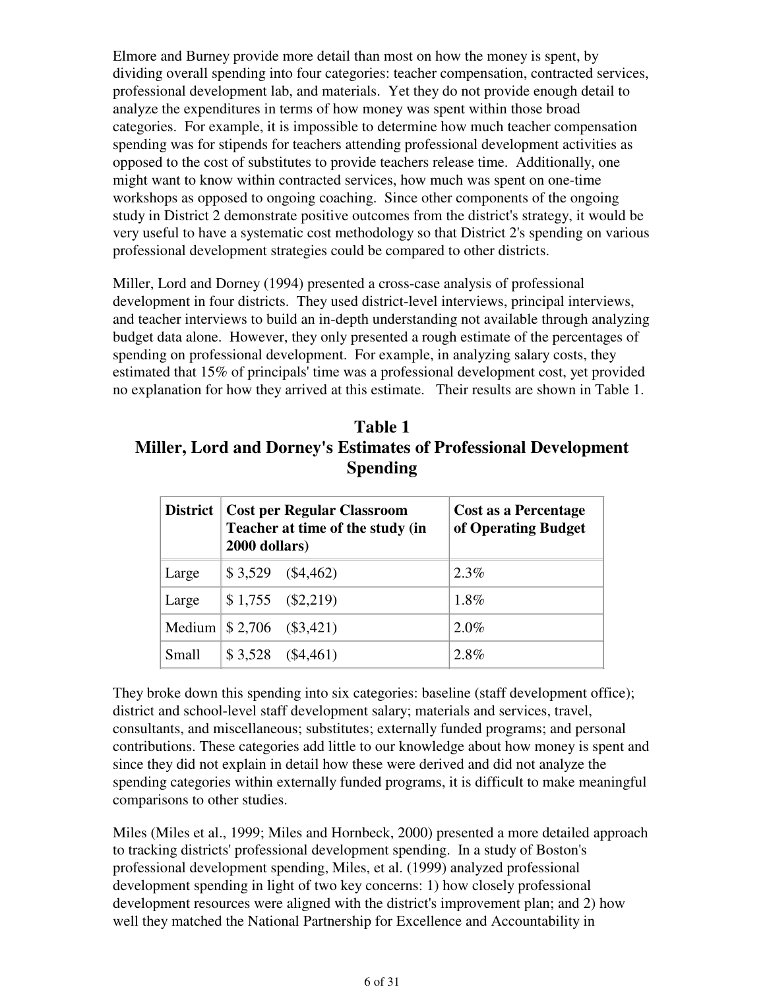Elmore and Burney provide more detail than most on how the money is spent, by dividing overall spending into four categories: teacher compensation, contracted services, professional development lab, and materials. Yet they do not provide enough detail to analyze the expenditures in terms of how money was spent within those broad categories. For example, it is impossible to determine how much teacher compensation spending was for stipends for teachers attending professional development activities as opposed to the cost of substitutes to provide teachers release time. Additionally, one might want to know within contracted services, how much was spent on one-time workshops as opposed to ongoing coaching. Since other components of the ongoing study in District 2 demonstrate positive outcomes from the district's strategy, it would be very useful to have a systematic cost methodology so that District 2's spending on various professional development strategies could be compared to other districts.

Miller, Lord and Dorney (1994) presented a cross-case analysis of professional development in four districts. They used district-level interviews, principal interviews, and teacher interviews to build an in-depth understanding not available through analyzing budget data alone. However, they only presented a rough estimate of the percentages of spending on professional development. For example, in analyzing salary costs, they estimated that 15% of principals' time was a professional development cost, yet provided no explanation for how they arrived at this estimate. Their results are shown in Table 1.

| Table 1                                                                |
|------------------------------------------------------------------------|
| <b>Miller, Lord and Dorney's Estimates of Professional Development</b> |
| <b>Spending</b>                                                        |

| <b>District</b> | <b>Cost per Regular Classroom</b><br>Teacher at time of the study (in<br>2000 dollars) | Cost as a Percentage<br>of Operating Budget |
|-----------------|----------------------------------------------------------------------------------------|---------------------------------------------|
| Large           | $$3,529$ $($4,462)$                                                                    | $2.3\%$                                     |
| Large           | $$1,755$ (\$2,219)                                                                     | 1.8%                                        |
|                 | Medium $\frac{1}{2}$ , 706 (\$3,421)                                                   | 2.0%                                        |
| Small           | $$3,528$ $($4,461)$                                                                    | $2.8\%$                                     |

They broke down this spending into six categories: baseline (staff development office); district and school-level staff development salary; materials and services, travel, consultants, and miscellaneous; substitutes; externally funded programs; and personal contributions. These categories add little to our knowledge about how money is spent and since they did not explain in detail how these were derived and did not analyze the spending categories within externally funded programs, it is difficult to make meaningful comparisons to other studies.

Miles (Miles et al., 1999; Miles and Hornbeck, 2000) presented a more detailed approach to tracking districts' professional development spending. In a study of Boston's professional development spending, Miles, et al. (1999) analyzed professional development spending in light of two key concerns: 1) how closely professional development resources were aligned with the district's improvement plan; and 2) how well they matched the National Partnership for Excellence and Accountability in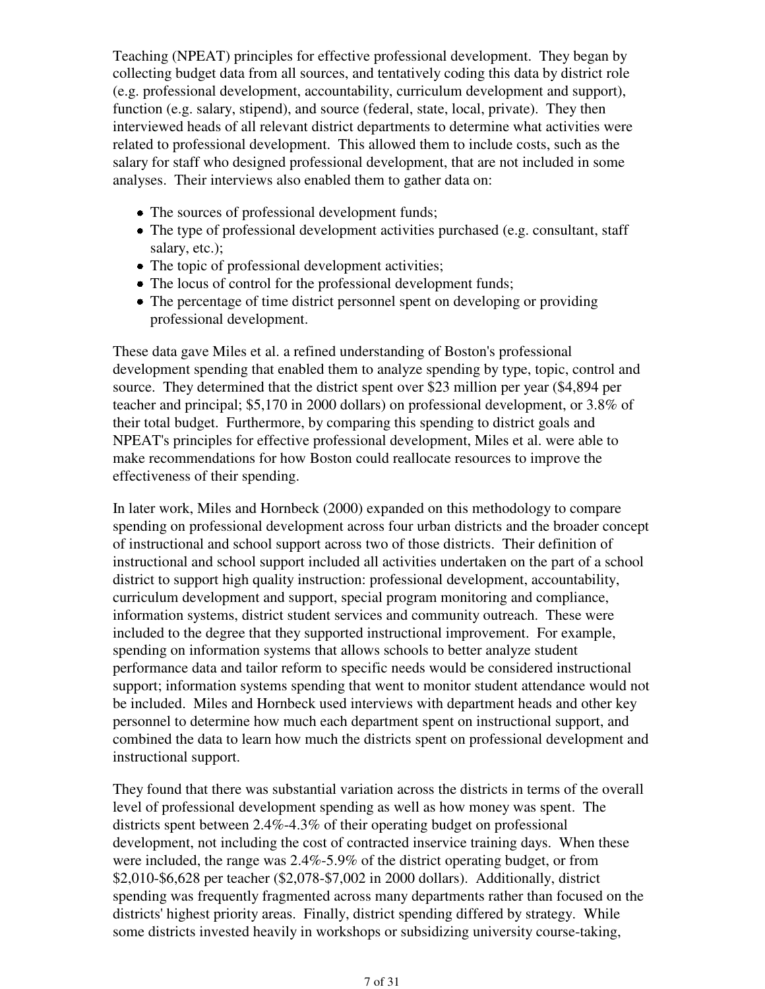Teaching (NPEAT) principles for effective professional development. They began by collecting budget data from all sources, and tentatively coding this data by district role (e.g. professional development, accountability, curriculum development and support), function (e.g. salary, stipend), and source (federal, state, local, private). They then interviewed heads of all relevant district departments to determine what activities were related to professional development. This allowed them to include costs, such as the salary for staff who designed professional development, that are not included in some analyses. Their interviews also enabled them to gather data on:

- The sources of professional development funds;
- The type of professional development activities purchased (e.g. consultant, staff salary, etc.);
- The topic of professional development activities;
- The locus of control for the professional development funds;
- The percentage of time district personnel spent on developing or providing professional development.

These data gave Miles et al. a refined understanding of Boston's professional development spending that enabled them to analyze spending by type, topic, control and source. They determined that the district spent over \$23 million per year (\$4,894 per teacher and principal; \$5,170 in 2000 dollars) on professional development, or 3.8% of their total budget. Furthermore, by comparing this spending to district goals and NPEAT's principles for effective professional development, Miles et al. were able to make recommendations for how Boston could reallocate resources to improve the effectiveness of their spending.

In later work, Miles and Hornbeck (2000) expanded on this methodology to compare spending on professional development across four urban districts and the broader concept of instructional and school support across two of those districts. Their definition of instructional and school support included all activities undertaken on the part of a school district to support high quality instruction: professional development, accountability, curriculum development and support, special program monitoring and compliance, information systems, district student services and community outreach. These were included to the degree that they supported instructional improvement. For example, spending on information systems that allows schools to better analyze student performance data and tailor reform to specific needs would be considered instructional support; information systems spending that went to monitor student attendance would not be included. Miles and Hornbeck used interviews with department heads and other key personnel to determine how much each department spent on instructional support, and combined the data to learn how much the districts spent on professional development and instructional support.

They found that there was substantial variation across the districts in terms of the overall level of professional development spending as well as how money was spent. The districts spent between 2.4%-4.3% of their operating budget on professional development, not including the cost of contracted inservice training days. When these were included, the range was 2.4%-5.9% of the district operating budget, or from \$2,010-\$6,628 per teacher (\$2,078-\$7,002 in 2000 dollars). Additionally, district spending was frequently fragmented across many departments rather than focused on the districts' highest priority areas. Finally, district spending differed by strategy. While some districts invested heavily in workshops or subsidizing university course-taking,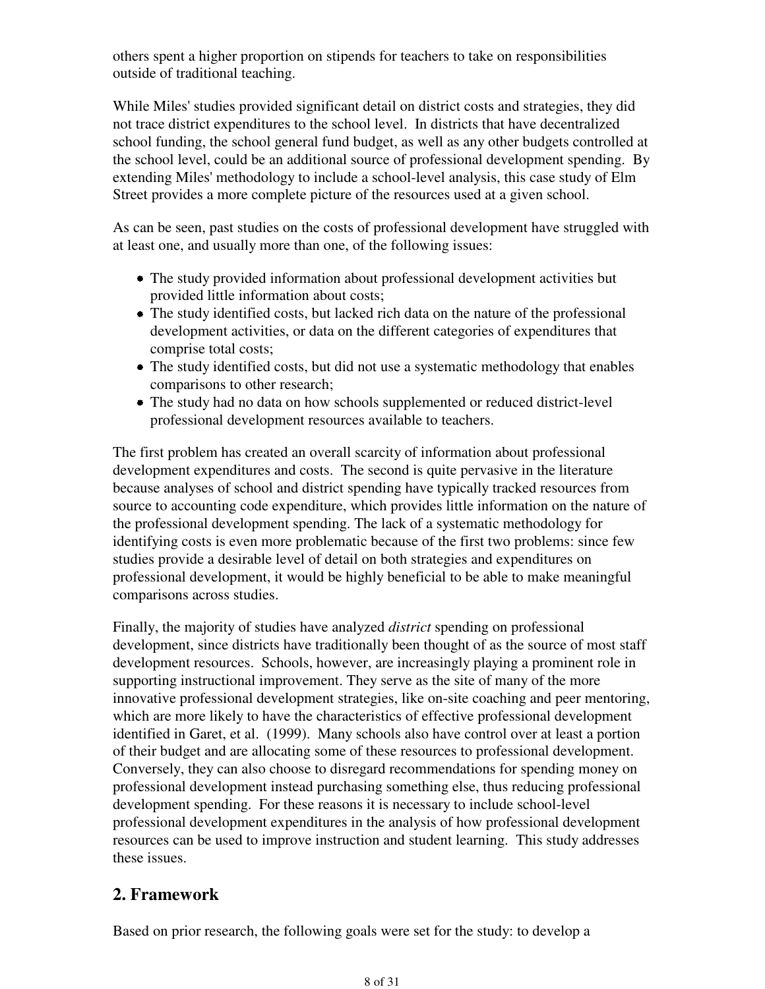others spent a higher proportion on stipends for teachers to take on responsibilities outside of traditional teaching.

While Miles' studies provided significant detail on district costs and strategies, they did not trace district expenditures to the school level. In districts that have decentralized school funding, the school general fund budget, as well as any other budgets controlled at the school level, could be an additional source of professional development spending. By extending Miles' methodology to include a school-level analysis, this case study of Elm Street provides a more complete picture of the resources used at a given school.

As can be seen, past studies on the costs of professional development have struggled with at least one, and usually more than one, of the following issues:

- The study provided information about professional development activities but provided little information about costs;
- The study identified costs, but lacked rich data on the nature of the professional development activities, or data on the different categories of expenditures that comprise total costs;
- The study identified costs, but did not use a systematic methodology that enables comparisons to other research;
- The study had no data on how schools supplemented or reduced district-level professional development resources available to teachers.

The first problem has created an overall scarcity of information about professional development expenditures and costs. The second is quite pervasive in the literature because analyses of school and district spending have typically tracked resources from source to accounting code expenditure, which provides little information on the nature of the professional development spending. The lack of a systematic methodology for identifying costs is even more problematic because of the first two problems: since few studies provide a desirable level of detail on both strategies and expenditures on professional development, it would be highly beneficial to be able to make meaningful comparisons across studies.

Finally, the majority of studies have analyzed *district* spending on professional development, since districts have traditionally been thought of as the source of most staff development resources. Schools, however, are increasingly playing a prominent role in supporting instructional improvement. They serve as the site of many of the more innovative professional development strategies, like on-site coaching and peer mentoring, which are more likely to have the characteristics of effective professional development identified in Garet, et al. (1999). Many schools also have control over at least a portion of their budget and are allocating some of these resources to professional development. Conversely, they can also choose to disregard recommendations for spending money on professional development instead purchasing something else, thus reducing professional development spending. For these reasons it is necessary to include school-level professional development expenditures in the analysis of how professional development resources can be used to improve instruction and student learning. This study addresses these issues.

## **2. Framework**

Based on prior research, the following goals were set for the study: to develop a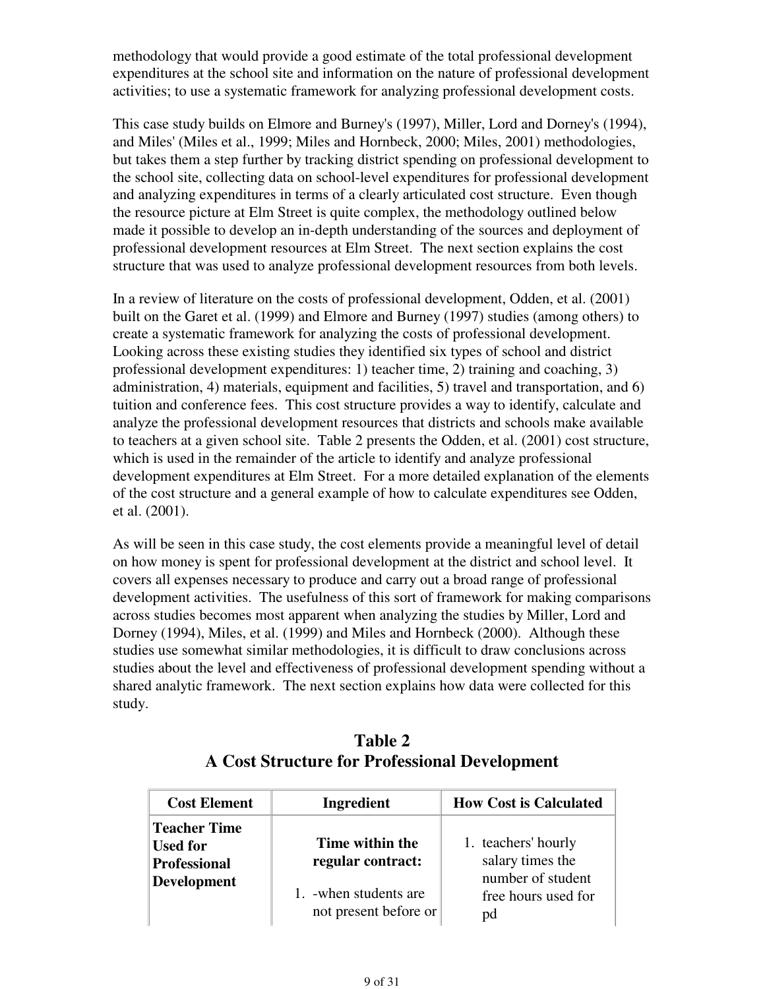methodology that would provide a good estimate of the total professional development expenditures at the school site and information on the nature of professional development activities; to use a systematic framework for analyzing professional development costs.

This case study builds on Elmore and Burney's (1997), Miller, Lord and Dorney's (1994), and Miles' (Miles et al., 1999; Miles and Hornbeck, 2000; Miles, 2001) methodologies, but takes them a step further by tracking district spending on professional development to the school site, collecting data on school-level expenditures for professional development and analyzing expenditures in terms of a clearly articulated cost structure. Even though the resource picture at Elm Street is quite complex, the methodology outlined below made it possible to develop an in-depth understanding of the sources and deployment of professional development resources at Elm Street. The next section explains the cost structure that was used to analyze professional development resources from both levels.

In a review of literature on the costs of professional development, Odden, et al. (2001) built on the Garet et al. (1999) and Elmore and Burney (1997) studies (among others) to create a systematic framework for analyzing the costs of professional development. Looking across these existing studies they identified six types of school and district professional development expenditures: 1) teacher time, 2) training and coaching, 3) administration, 4) materials, equipment and facilities, 5) travel and transportation, and 6) tuition and conference fees. This cost structure provides a way to identify, calculate and analyze the professional development resources that districts and schools make available to teachers at a given school site. Table 2 presents the Odden, et al. (2001) cost structure, which is used in the remainder of the article to identify and analyze professional development expenditures at Elm Street. For a more detailed explanation of the elements of the cost structure and a general example of how to calculate expenditures see Odden, et al. (2001).

As will be seen in this case study, the cost elements provide a meaningful level of detail on how money is spent for professional development at the district and school level. It covers all expenses necessary to produce and carry out a broad range of professional development activities. The usefulness of this sort of framework for making comparisons across studies becomes most apparent when analyzing the studies by Miller, Lord and Dorney (1994), Miles, et al. (1999) and Miles and Hornbeck (2000). Although these studies use somewhat similar methodologies, it is difficult to draw conclusions across studies about the level and effectiveness of professional development spending without a shared analytic framework. The next section explains how data were collected for this study.

| <b>Cost Element</b>                                                                 | Ingredient                                      | <b>How Cost is Calculated</b>                                |
|-------------------------------------------------------------------------------------|-------------------------------------------------|--------------------------------------------------------------|
| <b>Teacher Time</b><br><b>Used for</b><br><b>Professional</b><br><b>Development</b> | Time within the<br>regular contract:            | 1. teachers' hourly<br>salary times the<br>number of student |
|                                                                                     | 1. - when students are<br>not present before or | free hours used for<br>pd                                    |

## **Table 2 A Cost Structure for Professional Development**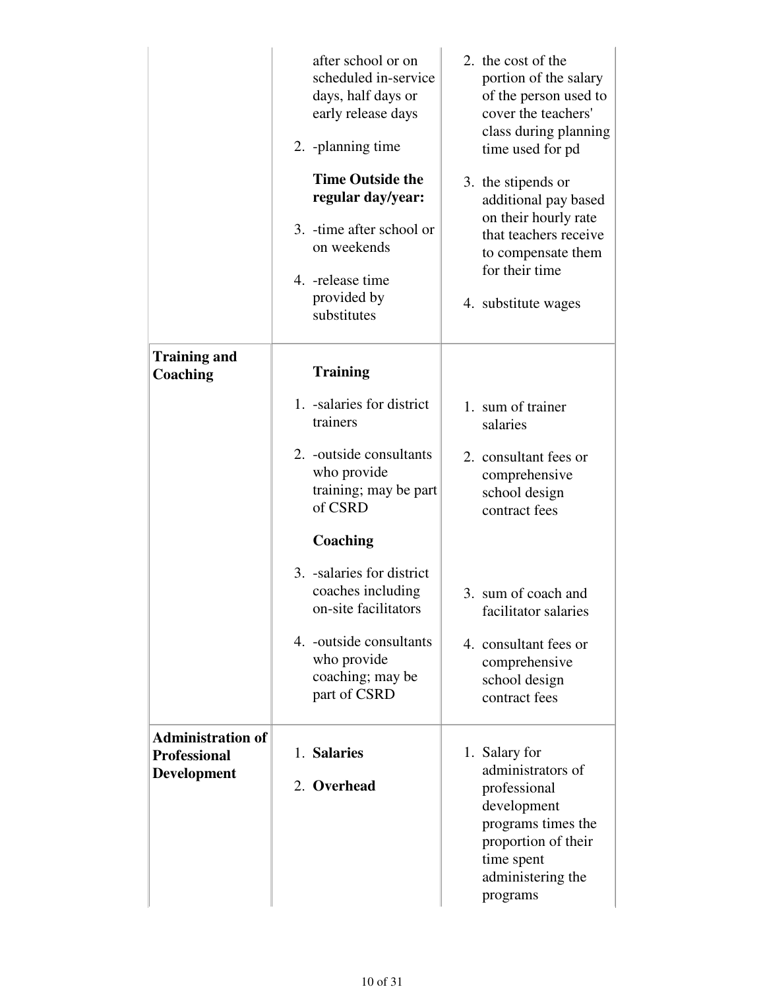|                                                 | after school or on<br>scheduled in-service<br>days, half days or<br>early release days<br>2. -planning time<br><b>Time Outside the</b><br>regular day/year:<br>3. -time after school or<br>on weekends<br>4. - release time<br>provided by<br>substitutes | 2. the cost of the<br>portion of the salary<br>of the person used to<br>cover the teachers'<br>class during planning<br>time used for pd<br>3. the stipends or<br>additional pay based<br>on their hourly rate<br>that teachers receive<br>to compensate them<br>for their time<br>4. substitute wages |
|-------------------------------------------------|-----------------------------------------------------------------------------------------------------------------------------------------------------------------------------------------------------------------------------------------------------------|--------------------------------------------------------------------------------------------------------------------------------------------------------------------------------------------------------------------------------------------------------------------------------------------------------|
| <b>Training and</b><br>Coaching                 | <b>Training</b>                                                                                                                                                                                                                                           |                                                                                                                                                                                                                                                                                                        |
|                                                 | 1. -salaries for district<br>trainers                                                                                                                                                                                                                     | 1. sum of trainer<br>salaries                                                                                                                                                                                                                                                                          |
|                                                 | 2. -outside consultants<br>who provide<br>training; may be part<br>of CSRD                                                                                                                                                                                | 2. consultant fees or<br>comprehensive<br>school design<br>contract fees                                                                                                                                                                                                                               |
|                                                 | Coaching                                                                                                                                                                                                                                                  |                                                                                                                                                                                                                                                                                                        |
|                                                 | 3. -salaries for district<br>coaches including<br>on-site facilitators                                                                                                                                                                                    | 3. sum of coach and<br>facilitator salaries                                                                                                                                                                                                                                                            |
|                                                 | 4. -outside consultants<br>who provide<br>coaching; may be<br>part of CSRD                                                                                                                                                                                | 4. consultant fees or<br>comprehensive<br>school design<br>contract fees                                                                                                                                                                                                                               |
| <b>Administration of</b><br><b>Professional</b> | 1. Salaries                                                                                                                                                                                                                                               | 1. Salary for                                                                                                                                                                                                                                                                                          |
| <b>Development</b>                              | 2. Overhead                                                                                                                                                                                                                                               | administrators of<br>professional<br>development<br>programs times the<br>proportion of their<br>time spent<br>administering the<br>programs                                                                                                                                                           |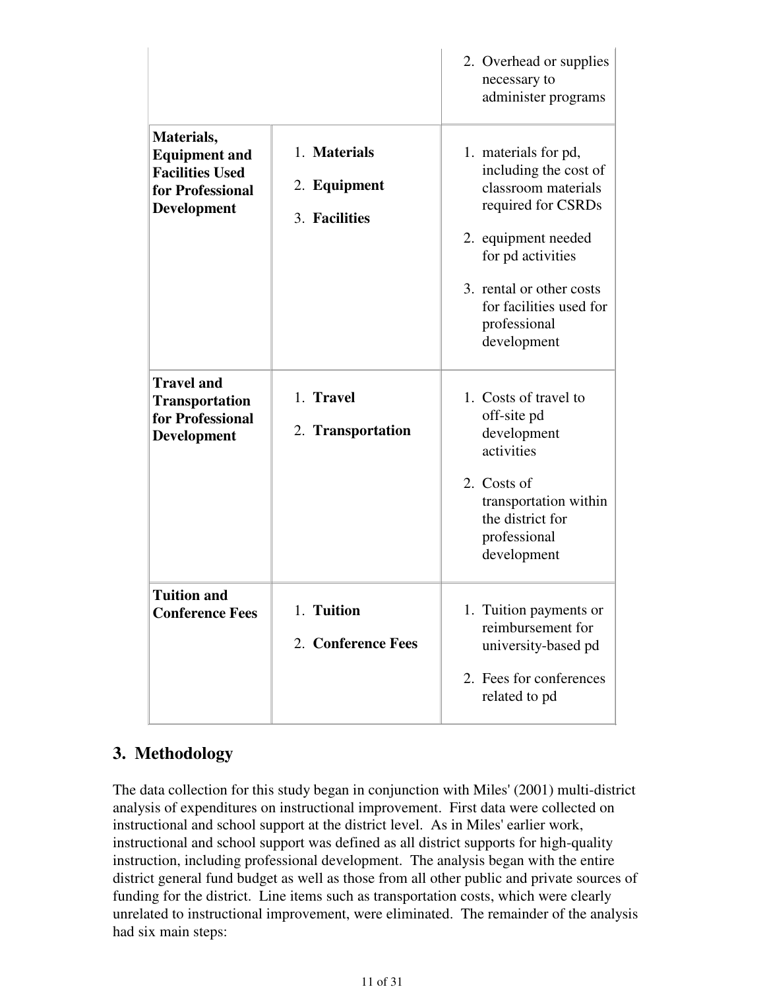|                                                                                                        |                                               | 2. Overhead or supplies<br>necessary to<br>administer programs                                                                                                                                                               |
|--------------------------------------------------------------------------------------------------------|-----------------------------------------------|------------------------------------------------------------------------------------------------------------------------------------------------------------------------------------------------------------------------------|
| Materials,<br><b>Equipment and</b><br><b>Facilities Used</b><br>for Professional<br><b>Development</b> | 1. Materials<br>2. Equipment<br>3. Facilities | 1. materials for pd,<br>including the cost of<br>classroom materials<br>required for CSRDs<br>2. equipment needed<br>for pd activities<br>3. rental or other costs<br>for facilities used for<br>professional<br>development |
| <b>Travel and</b><br><b>Transportation</b><br>for Professional<br><b>Development</b>                   | 1. Travel<br>2. Transportation                | 1. Costs of travel to<br>off-site pd<br>development<br>activities<br>2. Costs of<br>transportation within<br>the district for<br>professional<br>development                                                                 |
| <b>Tuition and</b><br><b>Conference Fees</b>                                                           | 1. Tuition<br>2. Conference Fees              | 1. Tuition payments or<br>reimbursement for<br>university-based pd<br>2. Fees for conferences<br>related to pd                                                                                                               |

## **3. Methodology**

The data collection for this study began in conjunction with Miles' (2001) multi-district analysis of expenditures on instructional improvement. First data were collected on instructional and school support at the district level. As in Miles' earlier work, instructional and school support was defined as all district supports for high-quality instruction, including professional development. The analysis began with the entire district general fund budget as well as those from all other public and private sources of funding for the district. Line items such as transportation costs, which were clearly unrelated to instructional improvement, were eliminated. The remainder of the analysis had six main steps: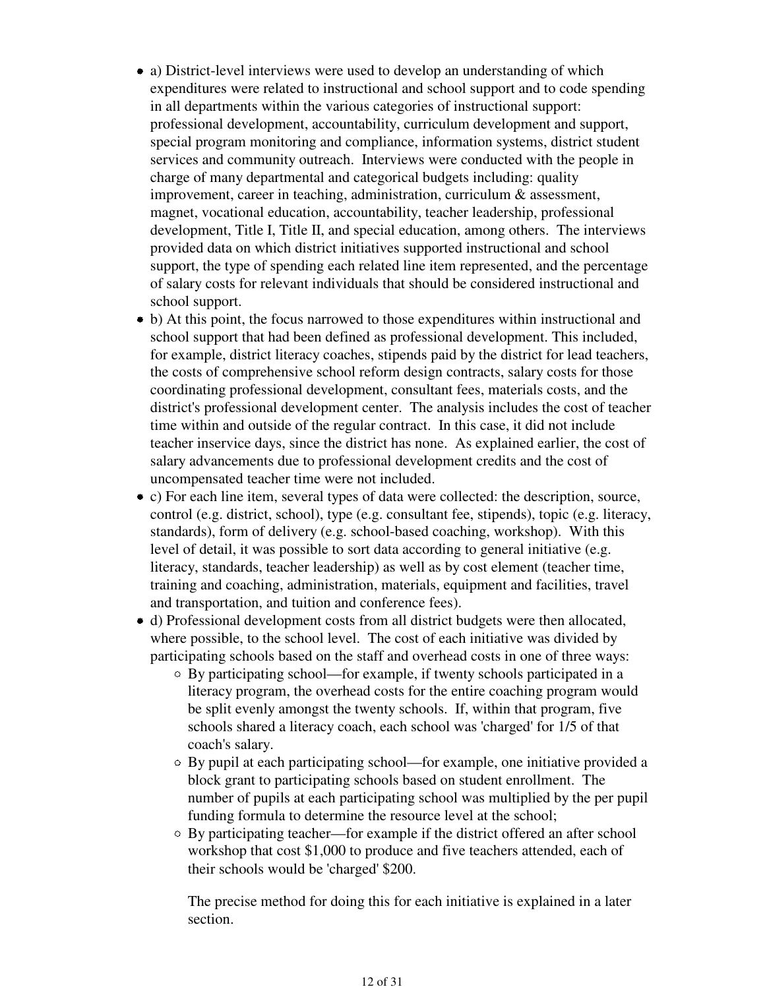- a) District-level interviews were used to develop an understanding of which expenditures were related to instructional and school support and to code spending in all departments within the various categories of instructional support: professional development, accountability, curriculum development and support, special program monitoring and compliance, information systems, district student services and community outreach. Interviews were conducted with the people in charge of many departmental and categorical budgets including: quality improvement, career in teaching, administration, curriculum & assessment, magnet, vocational education, accountability, teacher leadership, professional development, Title I, Title II, and special education, among others. The interviews provided data on which district initiatives supported instructional and school support, the type of spending each related line item represented, and the percentage of salary costs for relevant individuals that should be considered instructional and school support.
- b) At this point, the focus narrowed to those expenditures within instructional and school support that had been defined as professional development. This included, for example, district literacy coaches, stipends paid by the district for lead teachers, the costs of comprehensive school reform design contracts, salary costs for those coordinating professional development, consultant fees, materials costs, and the district's professional development center. The analysis includes the cost of teacher time within and outside of the regular contract. In this case, it did not include teacher inservice days, since the district has none. As explained earlier, the cost of salary advancements due to professional development credits and the cost of uncompensated teacher time were not included.
- c) For each line item, several types of data were collected: the description, source, control (e.g. district, school), type (e.g. consultant fee, stipends), topic (e.g. literacy, standards), form of delivery (e.g. school-based coaching, workshop). With this level of detail, it was possible to sort data according to general initiative (e.g. literacy, standards, teacher leadership) as well as by cost element (teacher time, training and coaching, administration, materials, equipment and facilities, travel and transportation, and tuition and conference fees).
- d) Professional development costs from all district budgets were then allocated, where possible, to the school level. The cost of each initiative was divided by participating schools based on the staff and overhead costs in one of three ways:
	- By participating school—for example, if twenty schools participated in a literacy program, the overhead costs for the entire coaching program would be split evenly amongst the twenty schools. If, within that program, five schools shared a literacy coach, each school was 'charged' for 1/5 of that coach's salary.
	- By pupil at each participating school—for example, one initiative provided a block grant to participating schools based on student enrollment. The number of pupils at each participating school was multiplied by the per pupil funding formula to determine the resource level at the school;
	- By participating teacher—for example if the district offered an after school workshop that cost \$1,000 to produce and five teachers attended, each of their schools would be 'charged' \$200.

The precise method for doing this for each initiative is explained in a later section.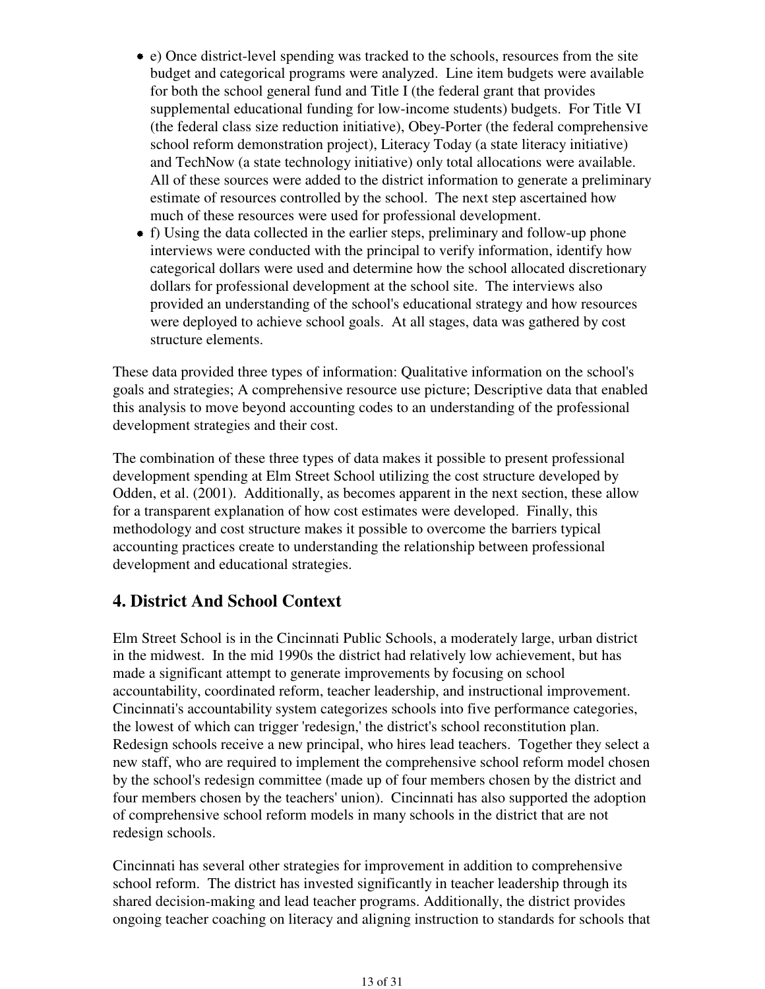- e) Once district-level spending was tracked to the schools, resources from the site budget and categorical programs were analyzed. Line item budgets were available for both the school general fund and Title I (the federal grant that provides supplemental educational funding for low-income students) budgets. For Title VI (the federal class size reduction initiative), Obey-Porter (the federal comprehensive school reform demonstration project), Literacy Today (a state literacy initiative) and TechNow (a state technology initiative) only total allocations were available. All of these sources were added to the district information to generate a preliminary estimate of resources controlled by the school. The next step ascertained how much of these resources were used for professional development.
- f) Using the data collected in the earlier steps, preliminary and follow-up phone interviews were conducted with the principal to verify information, identify how categorical dollars were used and determine how the school allocated discretionary dollars for professional development at the school site. The interviews also provided an understanding of the school's educational strategy and how resources were deployed to achieve school goals. At all stages, data was gathered by cost structure elements.

These data provided three types of information: Qualitative information on the school's goals and strategies; A comprehensive resource use picture; Descriptive data that enabled this analysis to move beyond accounting codes to an understanding of the professional development strategies and their cost.

The combination of these three types of data makes it possible to present professional development spending at Elm Street School utilizing the cost structure developed by Odden, et al. (2001). Additionally, as becomes apparent in the next section, these allow for a transparent explanation of how cost estimates were developed. Finally, this methodology and cost structure makes it possible to overcome the barriers typical accounting practices create to understanding the relationship between professional development and educational strategies.

### **4. District And School Context**

Elm Street School is in the Cincinnati Public Schools, a moderately large, urban district in the midwest. In the mid 1990s the district had relatively low achievement, but has made a significant attempt to generate improvements by focusing on school accountability, coordinated reform, teacher leadership, and instructional improvement. Cincinnati's accountability system categorizes schools into five performance categories, the lowest of which can trigger 'redesign,' the district's school reconstitution plan. Redesign schools receive a new principal, who hires lead teachers. Together they select a new staff, who are required to implement the comprehensive school reform model chosen by the school's redesign committee (made up of four members chosen by the district and four members chosen by the teachers' union). Cincinnati has also supported the adoption of comprehensive school reform models in many schools in the district that are not redesign schools.

Cincinnati has several other strategies for improvement in addition to comprehensive school reform. The district has invested significantly in teacher leadership through its shared decision-making and lead teacher programs. Additionally, the district provides ongoing teacher coaching on literacy and aligning instruction to standards for schools that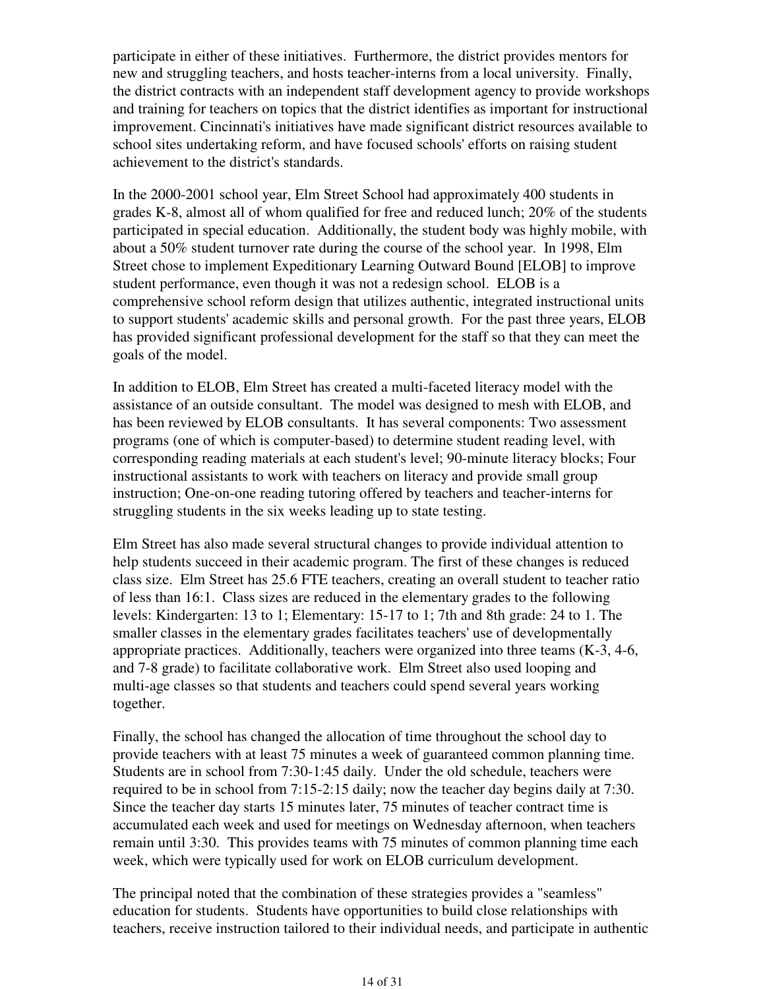participate in either of these initiatives. Furthermore, the district provides mentors for new and struggling teachers, and hosts teacher-interns from a local university. Finally, the district contracts with an independent staff development agency to provide workshops and training for teachers on topics that the district identifies as important for instructional improvement. Cincinnati's initiatives have made significant district resources available to school sites undertaking reform, and have focused schools' efforts on raising student achievement to the district's standards.

In the 2000-2001 school year, Elm Street School had approximately 400 students in grades K-8, almost all of whom qualified for free and reduced lunch; 20% of the students participated in special education. Additionally, the student body was highly mobile, with about a 50% student turnover rate during the course of the school year. In 1998, Elm Street chose to implement Expeditionary Learning Outward Bound [ELOB] to improve student performance, even though it was not a redesign school. ELOB is a comprehensive school reform design that utilizes authentic, integrated instructional units to support students' academic skills and personal growth. For the past three years, ELOB has provided significant professional development for the staff so that they can meet the goals of the model.

In addition to ELOB, Elm Street has created a multi-faceted literacy model with the assistance of an outside consultant. The model was designed to mesh with ELOB, and has been reviewed by ELOB consultants. It has several components: Two assessment programs (one of which is computer-based) to determine student reading level, with corresponding reading materials at each student's level; 90-minute literacy blocks; Four instructional assistants to work with teachers on literacy and provide small group instruction; One-on-one reading tutoring offered by teachers and teacher-interns for struggling students in the six weeks leading up to state testing.

Elm Street has also made several structural changes to provide individual attention to help students succeed in their academic program. The first of these changes is reduced class size. Elm Street has 25.6 FTE teachers, creating an overall student to teacher ratio of less than 16:1. Class sizes are reduced in the elementary grades to the following levels: Kindergarten: 13 to 1; Elementary: 15-17 to 1; 7th and 8th grade: 24 to 1. The smaller classes in the elementary grades facilitates teachers' use of developmentally appropriate practices. Additionally, teachers were organized into three teams (K-3, 4-6, and 7-8 grade) to facilitate collaborative work. Elm Street also used looping and multi-age classes so that students and teachers could spend several years working together.

Finally, the school has changed the allocation of time throughout the school day to provide teachers with at least 75 minutes a week of guaranteed common planning time. Students are in school from 7:30-1:45 daily. Under the old schedule, teachers were required to be in school from 7:15-2:15 daily; now the teacher day begins daily at 7:30. Since the teacher day starts 15 minutes later, 75 minutes of teacher contract time is accumulated each week and used for meetings on Wednesday afternoon, when teachers remain until 3:30. This provides teams with 75 minutes of common planning time each week, which were typically used for work on ELOB curriculum development.

The principal noted that the combination of these strategies provides a "seamless" education for students. Students have opportunities to build close relationships with teachers, receive instruction tailored to their individual needs, and participate in authentic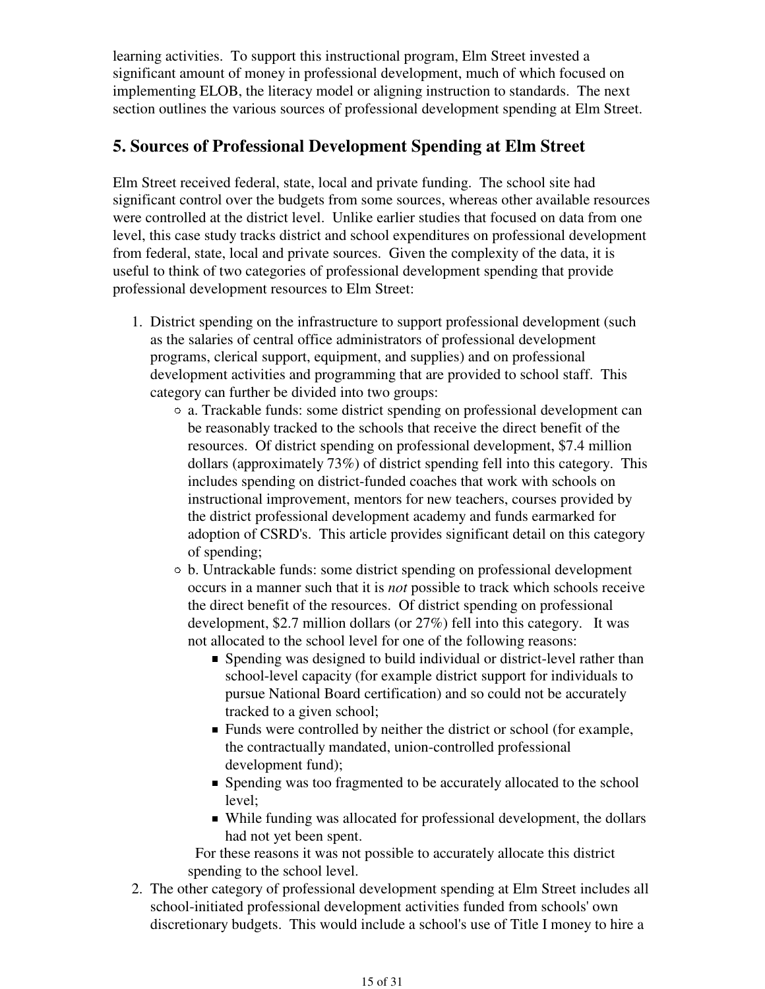learning activities. To support this instructional program, Elm Street invested a significant amount of money in professional development, much of which focused on implementing ELOB, the literacy model or aligning instruction to standards. The next section outlines the various sources of professional development spending at Elm Street.

### **5. Sources of Professional Development Spending at Elm Street**

Elm Street received federal, state, local and private funding. The school site had significant control over the budgets from some sources, whereas other available resources were controlled at the district level. Unlike earlier studies that focused on data from one level, this case study tracks district and school expenditures on professional development from federal, state, local and private sources. Given the complexity of the data, it is useful to think of two categories of professional development spending that provide professional development resources to Elm Street:

- 1. District spending on the infrastructure to support professional development (such as the salaries of central office administrators of professional development programs, clerical support, equipment, and supplies) and on professional development activities and programming that are provided to school staff. This category can further be divided into two groups:
	- a. Trackable funds: some district spending on professional development can be reasonably tracked to the schools that receive the direct benefit of the resources. Of district spending on professional development, \$7.4 million dollars (approximately 73%) of district spending fell into this category. This includes spending on district-funded coaches that work with schools on instructional improvement, mentors for new teachers, courses provided by the district professional development academy and funds earmarked for adoption of CSRD's. This article provides significant detail on this category of spending;
	- b. Untrackable funds: some district spending on professional development occurs in a manner such that it is *not* possible to track which schools receive the direct benefit of the resources. Of district spending on professional development, \$2.7 million dollars (or 27%) fell into this category. It was not allocated to the school level for one of the following reasons:
		- Spending was designed to build individual or district-level rather than school-level capacity (for example district support for individuals to pursue National Board certification) and so could not be accurately tracked to a given school;
		- **Funds were controlled by neither the district or school (for example,** the contractually mandated, union-controlled professional development fund);
		- Spending was too fragmented to be accurately allocated to the school level;
		- While funding was allocated for professional development, the dollars had not yet been spent.

 For these reasons it was not possible to accurately allocate this district spending to the school level.

The other category of professional development spending at Elm Street includes all 2.school-initiated professional development activities funded from schools' own discretionary budgets. This would include a school's use of Title I money to hire a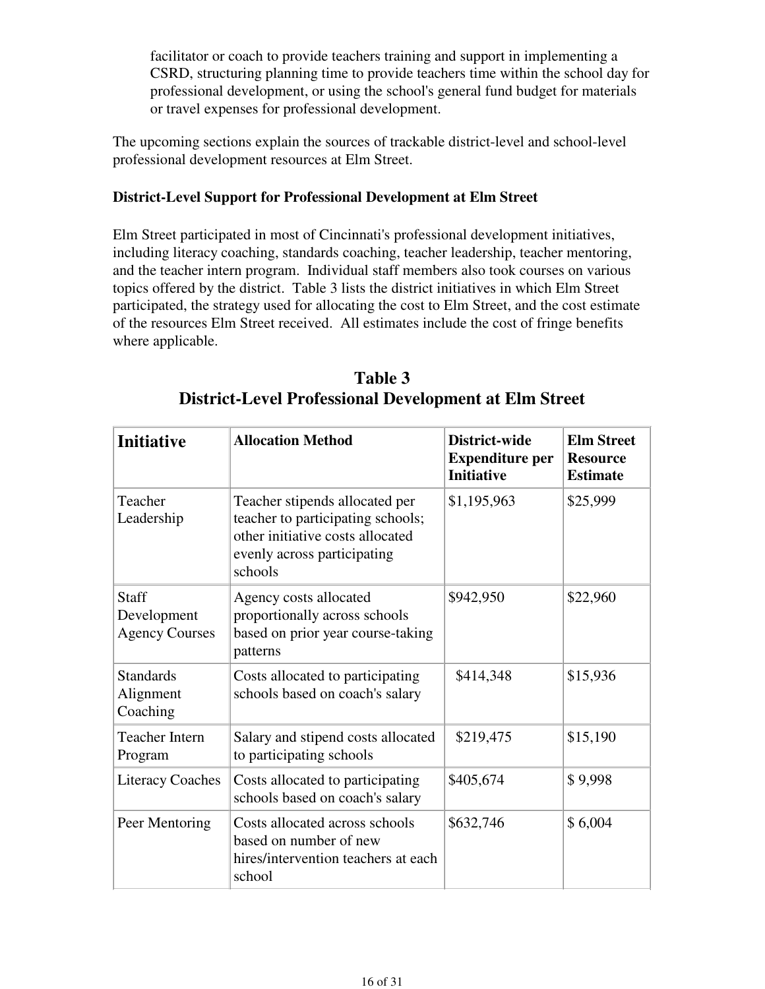facilitator or coach to provide teachers training and support in implementing a CSRD, structuring planning time to provide teachers time within the school day for professional development, or using the school's general fund budget for materials or travel expenses for professional development.

The upcoming sections explain the sources of trackable district-level and school-level professional development resources at Elm Street.

#### **District-Level Support for Professional Development at Elm Street**

Elm Street participated in most of Cincinnati's professional development initiatives, including literacy coaching, standards coaching, teacher leadership, teacher mentoring, and the teacher intern program. Individual staff members also took courses on various topics offered by the district. Table 3 lists the district initiatives in which Elm Street participated, the strategy used for allocating the cost to Elm Street, and the cost estimate of the resources Elm Street received. All estimates include the cost of fringe benefits where applicable.

| <b>Initiative</b>                             | <b>Allocation Method</b>                                                                                                                          | District-wide<br><b>Expenditure per</b><br><b>Initiative</b> | <b>Elm Street</b><br><b>Resource</b><br><b>Estimate</b> |
|-----------------------------------------------|---------------------------------------------------------------------------------------------------------------------------------------------------|--------------------------------------------------------------|---------------------------------------------------------|
| Teacher<br>Leadership                         | Teacher stipends allocated per<br>teacher to participating schools;<br>other initiative costs allocated<br>evenly across participating<br>schools | \$1,195,963                                                  | \$25,999                                                |
| Staff<br>Development<br><b>Agency Courses</b> | Agency costs allocated<br>proportionally across schools<br>based on prior year course-taking<br>patterns                                          | \$942,950                                                    | \$22,960                                                |
| <b>Standards</b><br>Alignment<br>Coaching     | Costs allocated to participating<br>schools based on coach's salary                                                                               | \$414,348                                                    | \$15,936                                                |
| <b>Teacher Intern</b><br>Program              | Salary and stipend costs allocated<br>to participating schools                                                                                    | \$219,475                                                    | \$15,190                                                |
| <b>Literacy Coaches</b>                       | Costs allocated to participating<br>schools based on coach's salary                                                                               | \$405,674                                                    | \$9,998                                                 |
| Peer Mentoring                                | Costs allocated across schools<br>based on number of new<br>hires/intervention teachers at each<br>school                                         | \$632,746                                                    | \$6,004                                                 |

**Table 3 District-Level Professional Development at Elm Street**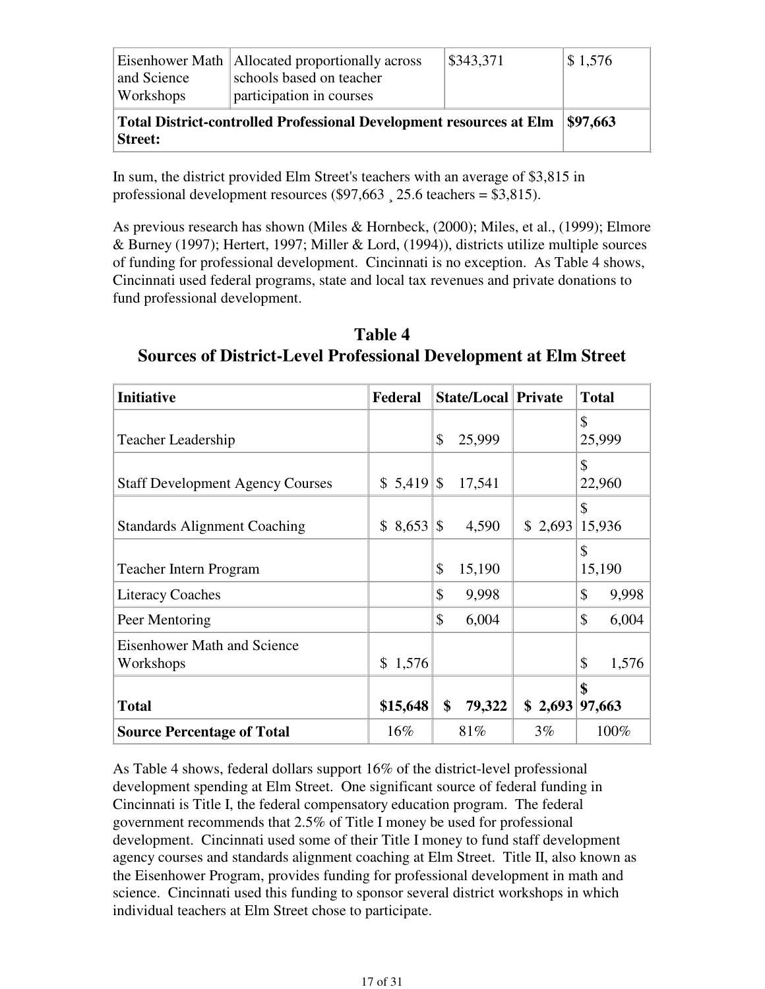| and Science<br>Workshops                                                                     | Eisenhower Math   Allocated proportionally across<br>schools based on teacher<br>participation in courses | \$343,371 | $\frac{1}{5}$ 1,576 |
|----------------------------------------------------------------------------------------------|-----------------------------------------------------------------------------------------------------------|-----------|---------------------|
| <b>Total District-controlled Professional Development resources at Elm</b><br><b>Street:</b> | $\frac{1}{9}$ \$97.663                                                                                    |           |                     |

In sum, the district provided Elm Street's teachers with an average of \$3,815 in professional development resources  $(\$97,663, 25.6$  teachers = \$3,815).

As previous research has shown (Miles & Hornbeck, (2000); Miles, et al., (1999); Elmore & Burney (1997); Hertert, 1997; Miller & Lord, (1994)), districts utilize multiple sources of funding for professional development. Cincinnati is no exception. As Table 4 shows, Cincinnati used federal programs, state and local tax revenues and private donations to fund professional development.

**Table 4 Sources of District-Level Professional Development at Elm Street**

| <b>Initiative</b>                               | Federal      | <b>State/Local Private</b> |         | <b>Total</b>           |
|-------------------------------------------------|--------------|----------------------------|---------|------------------------|
| <b>Teacher Leadership</b>                       |              | \$<br>25,999               |         | \$<br>25,999           |
| <b>Staff Development Agency Courses</b>         | $$5,419$ $$$ | 17,541                     |         | \$<br>22,960           |
| <b>Standards Alignment Coaching</b>             |              | 4,590                      | \$2,693 | \$<br>15,936           |
| <b>Teacher Intern Program</b>                   |              | \$<br>15,190               |         | \$<br>15,190           |
| <b>Literacy Coaches</b>                         |              | \$<br>9,998                |         | $\mathcal{S}$<br>9,998 |
| Peer Mentoring                                  |              | \$<br>6,004                |         | \$<br>6,004            |
| <b>Eisenhower Math and Science</b><br>Workshops | \$1,576      |                            |         | \$<br>1,576            |
| <b>Total</b>                                    | \$15,648     | \$<br>79,322               | \$2,693 | \$<br>97,663           |
| <b>Source Percentage of Total</b>               | $16\%$       | 81%                        | $3\%$   | 100%                   |

As Table 4 shows, federal dollars support 16% of the district-level professional development spending at Elm Street. One significant source of federal funding in Cincinnati is Title I, the federal compensatory education program. The federal government recommends that 2.5% of Title I money be used for professional development. Cincinnati used some of their Title I money to fund staff development agency courses and standards alignment coaching at Elm Street. Title II, also known as the Eisenhower Program, provides funding for professional development in math and science. Cincinnati used this funding to sponsor several district workshops in which individual teachers at Elm Street chose to participate.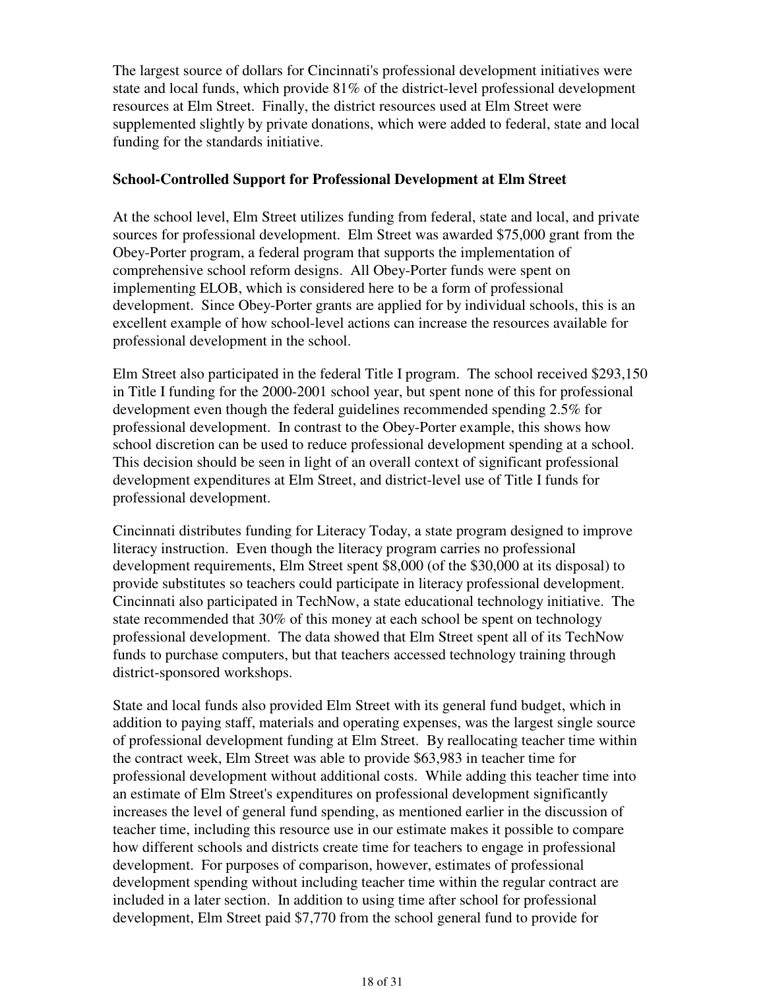The largest source of dollars for Cincinnati's professional development initiatives were state and local funds, which provide 81% of the district-level professional development resources at Elm Street. Finally, the district resources used at Elm Street were supplemented slightly by private donations, which were added to federal, state and local funding for the standards initiative.

#### **School-Controlled Support for Professional Development at Elm Street**

At the school level, Elm Street utilizes funding from federal, state and local, and private sources for professional development. Elm Street was awarded \$75,000 grant from the Obey-Porter program, a federal program that supports the implementation of comprehensive school reform designs. All Obey-Porter funds were spent on implementing ELOB, which is considered here to be a form of professional development. Since Obey-Porter grants are applied for by individual schools, this is an excellent example of how school-level actions can increase the resources available for professional development in the school.

Elm Street also participated in the federal Title I program. The school received \$293,150 in Title I funding for the 2000-2001 school year, but spent none of this for professional development even though the federal guidelines recommended spending 2.5% for professional development. In contrast to the Obey-Porter example, this shows how school discretion can be used to reduce professional development spending at a school. This decision should be seen in light of an overall context of significant professional development expenditures at Elm Street, and district-level use of Title I funds for professional development.

Cincinnati distributes funding for Literacy Today, a state program designed to improve literacy instruction. Even though the literacy program carries no professional development requirements, Elm Street spent \$8,000 (of the \$30,000 at its disposal) to provide substitutes so teachers could participate in literacy professional development. Cincinnati also participated in TechNow, a state educational technology initiative. The state recommended that 30% of this money at each school be spent on technology professional development. The data showed that Elm Street spent all of its TechNow funds to purchase computers, but that teachers accessed technology training through district-sponsored workshops.

State and local funds also provided Elm Street with its general fund budget, which in addition to paying staff, materials and operating expenses, was the largest single source of professional development funding at Elm Street. By reallocating teacher time within the contract week, Elm Street was able to provide \$63,983 in teacher time for professional development without additional costs. While adding this teacher time into an estimate of Elm Street's expenditures on professional development significantly increases the level of general fund spending, as mentioned earlier in the discussion of teacher time, including this resource use in our estimate makes it possible to compare how different schools and districts create time for teachers to engage in professional development. For purposes of comparison, however, estimates of professional development spending without including teacher time within the regular contract are included in a later section. In addition to using time after school for professional development, Elm Street paid \$7,770 from the school general fund to provide for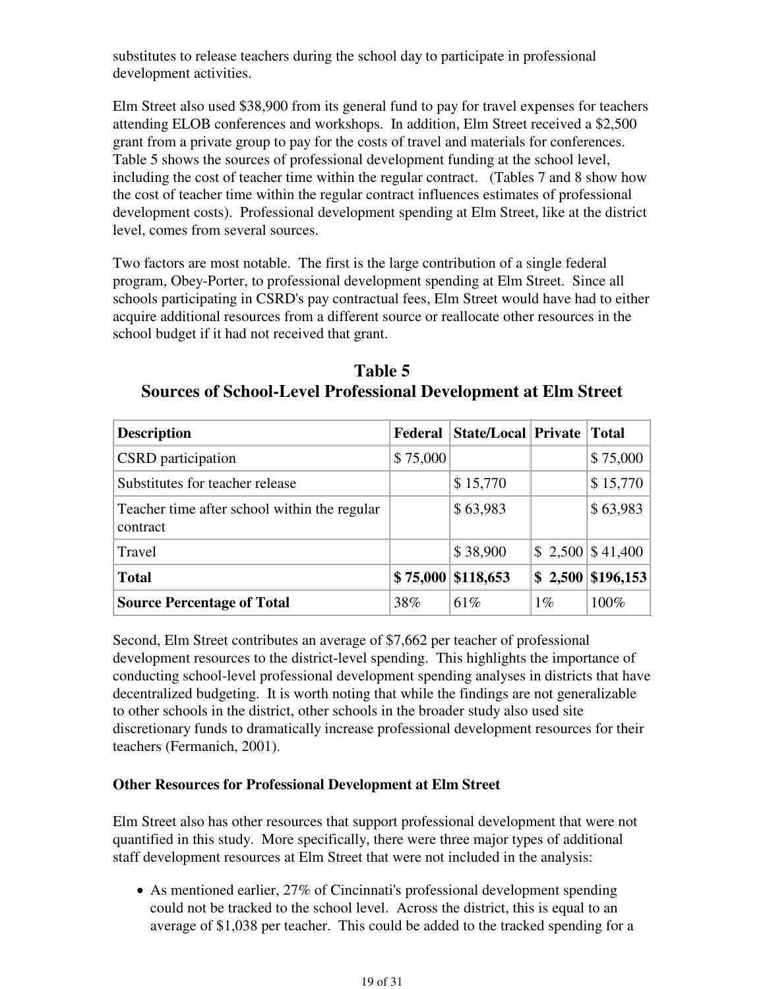substitutes to release teachers during the school day to participate in professional development activities.

Elm Street also used \$38,900 from its general fund to pay for travel expenses for teachers attending ELOB conferences and workshops. In addition, Elm Street received a \$2,500 grant from a private group to pay for the costs of travel and materials for conferences. Table 5 shows the sources of professional development funding at the school level, including the cost of teacher time within the regular contract. (Tables 7 and 8 show how the cost of teacher time within the regular contract influences estimates of professional development costs). Professional development spending at Elm Street, like at the district level, comes from several sources.

Two factors are most notable. The first is the large contribution of a single federal program, Obey-Porter, to professional development spending at Elm Street. Since all schools participating in CSRD's pay contractual fees, Elm Street would have had to either acquire additional resources from a different source or reallocate other resources in the school budget if it had not received that grant.

**Table 5 Sources of School-Level Professional Development at Elm Street**

| <b>Description</b>                                       | Federal  | State/Local   Private |       | <b>Total</b>         |
|----------------------------------------------------------|----------|-----------------------|-------|----------------------|
| <b>CSRD</b> participation                                | \$75,000 |                       |       | \$75,000             |
| Substitutes for teacher release                          |          | \$15,770              |       | \$15,770             |
| Teacher time after school within the regular<br>contract |          | \$63,983              |       | \$63,983             |
| Travel                                                   |          | \$38,900              |       | $$2,500 \, $41,400$  |
| <b>Total</b>                                             |          | \$75,000 \$118,653    |       | $$2,500 \; $196,153$ |
| <b>Source Percentage of Total</b>                        | 38%      | 61\%                  | $1\%$ | 100%                 |

Second, Elm Street contributes an average of \$7,662 per teacher of professional development resources to the district-level spending. This highlights the importance of conducting school-level professional development spending analyses in districts that have decentralized budgeting. It is worth noting that while the findings are not generalizable to other schools in the district, other schools in the broader study also used site discretionary funds to dramatically increase professional development resources for their teachers (Fermanich, 2001).

#### **Other Resources for Professional Development at Elm Street**

Elm Street also has other resources that support professional development that were not quantified in this study. More specifically, there were three major types of additional staff development resources at Elm Street that were not included in the analysis:

• As mentioned earlier, 27% of Cincinnati's professional development spending could not be tracked to the school level. Across the district, this is equal to an average of \$1,038 per teacher. This could be added to the tracked spending for a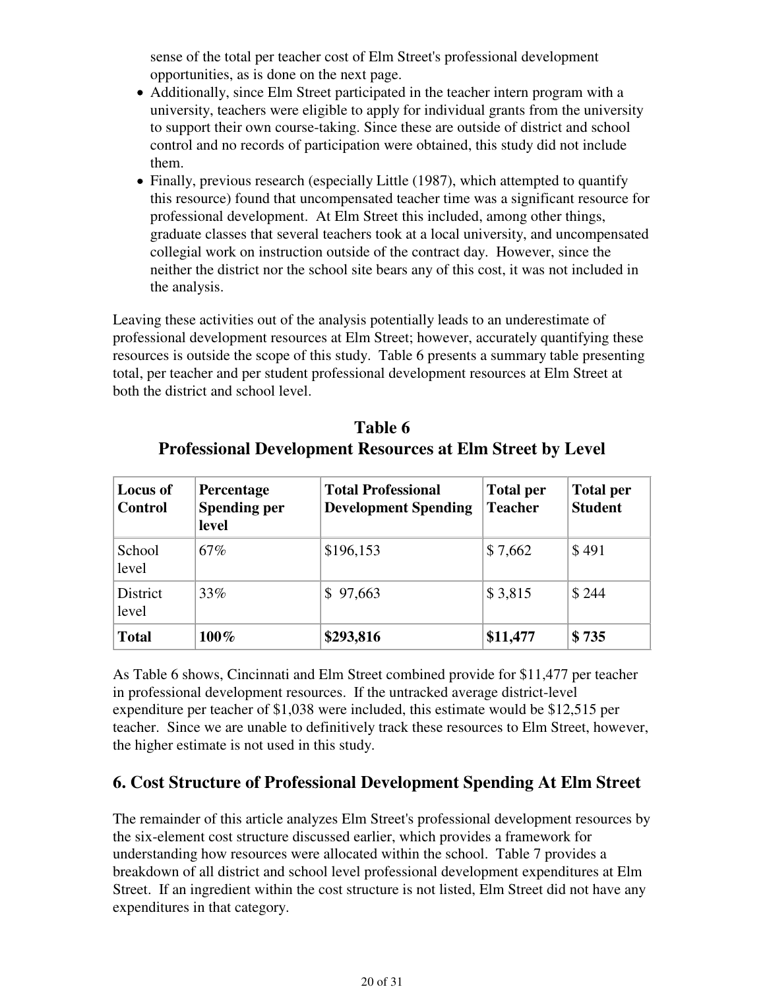sense of the total per teacher cost of Elm Street's professional development opportunities, as is done on the next page.

- Additionally, since Elm Street participated in the teacher intern program with a university, teachers were eligible to apply for individual grants from the university to support their own course-taking. Since these are outside of district and school control and no records of participation were obtained, this study did not include them.
- Finally, previous research (especially Little (1987), which attempted to quantify this resource) found that uncompensated teacher time was a significant resource for professional development. At Elm Street this included, among other things, graduate classes that several teachers took at a local university, and uncompensated collegial work on instruction outside of the contract day. However, since the neither the district nor the school site bears any of this cost, it was not included in the analysis.

Leaving these activities out of the analysis potentially leads to an underestimate of professional development resources at Elm Street; however, accurately quantifying these resources is outside the scope of this study. Table 6 presents a summary table presenting total, per teacher and per student professional development resources at Elm Street at both the district and school level.

| Table 6                                                          |
|------------------------------------------------------------------|
| <b>Professional Development Resources at Elm Street by Level</b> |

| <b>Locus of</b><br><b>Control</b> | Percentage<br><b>Spending per</b><br>level | <b>Total Professional</b><br><b>Development Spending</b> | <b>Total per</b><br><b>Teacher</b> | <b>Total per</b><br><b>Student</b> |
|-----------------------------------|--------------------------------------------|----------------------------------------------------------|------------------------------------|------------------------------------|
| School<br>level                   | 67%                                        | \$196,153                                                | \$7,662                            | \$491                              |
| District<br>level                 | 33%                                        | \$97,663                                                 | \$3,815                            | \$244                              |
| <b>Total</b>                      | $100\%$                                    | \$293,816                                                | \$11,477                           | \$735                              |

As Table 6 shows, Cincinnati and Elm Street combined provide for \$11,477 per teacher in professional development resources. If the untracked average district-level expenditure per teacher of \$1,038 were included, this estimate would be \$12,515 per teacher. Since we are unable to definitively track these resources to Elm Street, however, the higher estimate is not used in this study.

## **6. Cost Structure of Professional Development Spending At Elm Street**

The remainder of this article analyzes Elm Street's professional development resources by the six-element cost structure discussed earlier, which provides a framework for understanding how resources were allocated within the school. Table 7 provides a breakdown of all district and school level professional development expenditures at Elm Street. If an ingredient within the cost structure is not listed, Elm Street did not have any expenditures in that category.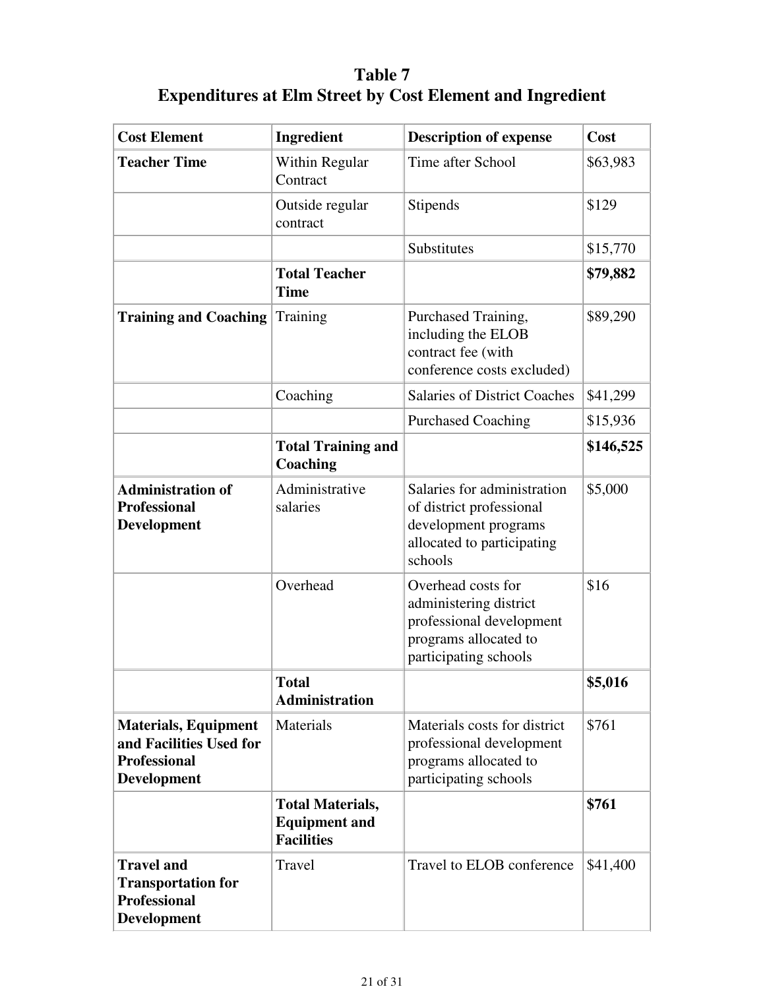# **Table 7 Expenditures at Elm Street by Cost Element and Ingredient**

| <b>Cost Element</b>                                                                                 | Ingredient                                                           | <b>Description of expense</b>                                                                                              | Cost      |
|-----------------------------------------------------------------------------------------------------|----------------------------------------------------------------------|----------------------------------------------------------------------------------------------------------------------------|-----------|
| <b>Teacher Time</b>                                                                                 | Within Regular<br>Contract                                           | Time after School                                                                                                          | \$63,983  |
|                                                                                                     | Outside regular<br>contract                                          | Stipends                                                                                                                   | \$129     |
|                                                                                                     |                                                                      | Substitutes                                                                                                                | \$15,770  |
|                                                                                                     | <b>Total Teacher</b><br><b>Time</b>                                  |                                                                                                                            | \$79,882  |
| <b>Training and Coaching</b>                                                                        | Training                                                             | Purchased Training,<br>including the ELOB<br>contract fee (with<br>conference costs excluded)                              | \$89,290  |
|                                                                                                     | Coaching                                                             | <b>Salaries of District Coaches</b>                                                                                        | \$41,299  |
|                                                                                                     |                                                                      | <b>Purchased Coaching</b>                                                                                                  | \$15,936  |
|                                                                                                     | <b>Total Training and</b><br>Coaching                                |                                                                                                                            | \$146,525 |
| <b>Administration of</b><br><b>Professional</b><br>Development                                      | Administrative<br>salaries                                           | Salaries for administration<br>of district professional<br>development programs<br>allocated to participating<br>schools   | \$5,000   |
|                                                                                                     | Overhead                                                             | Overhead costs for<br>administering district<br>professional development<br>programs allocated to<br>participating schools | \$16      |
|                                                                                                     | <b>Total</b><br><b>Administration</b>                                |                                                                                                                            | \$5,016   |
| <b>Materials, Equipment</b><br>and Facilities Used for<br><b>Professional</b><br><b>Development</b> | Materials                                                            | Materials costs for district<br>professional development<br>programs allocated to<br>participating schools                 | \$761     |
|                                                                                                     | <b>Total Materials,</b><br><b>Equipment and</b><br><b>Facilities</b> |                                                                                                                            | \$761     |
| <b>Travel and</b><br><b>Transportation for</b><br><b>Professional</b><br>Development                | Travel                                                               | Travel to ELOB conference                                                                                                  | \$41,400  |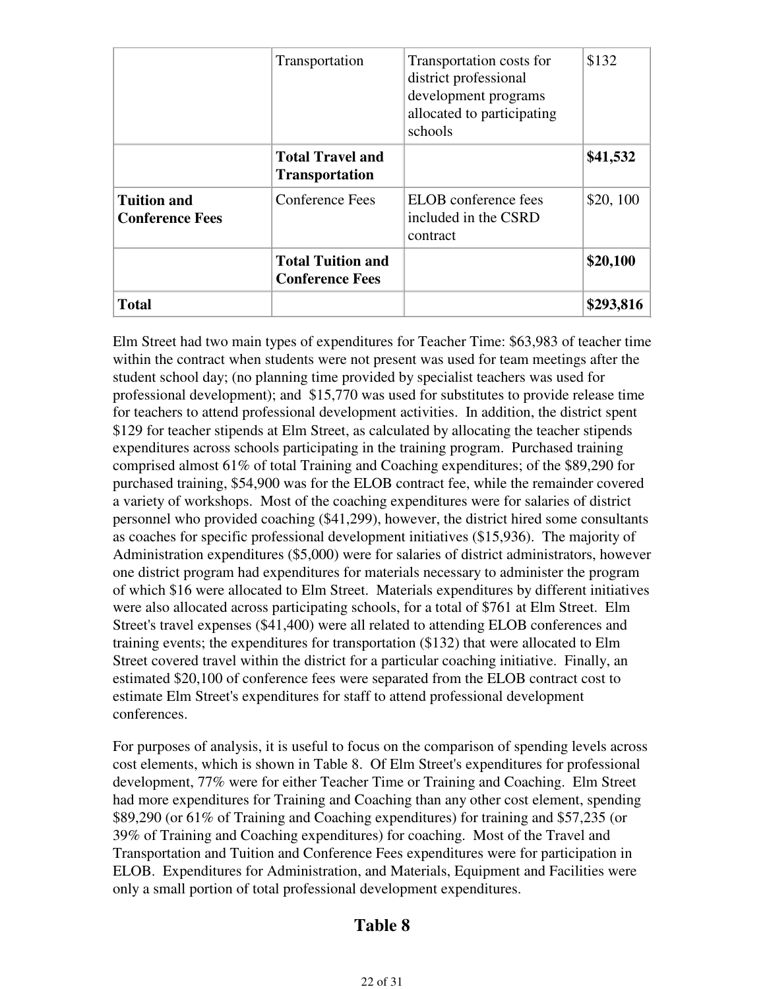|                                              | Transportation                                     | Transportation costs for<br>district professional<br>development programs<br>allocated to participating<br>schools | \$132     |
|----------------------------------------------|----------------------------------------------------|--------------------------------------------------------------------------------------------------------------------|-----------|
|                                              | <b>Total Travel and</b><br><b>Transportation</b>   |                                                                                                                    | \$41,532  |
| <b>Tuition and</b><br><b>Conference Fees</b> | Conference Fees                                    | ELOB conference fees<br>included in the CSRD<br>contract                                                           | \$20,100  |
|                                              | <b>Total Tuition and</b><br><b>Conference Fees</b> |                                                                                                                    | \$20,100  |
| <b>Total</b>                                 |                                                    |                                                                                                                    | \$293,816 |

Elm Street had two main types of expenditures for Teacher Time: \$63,983 of teacher time within the contract when students were not present was used for team meetings after the student school day; (no planning time provided by specialist teachers was used for professional development); and \$15,770 was used for substitutes to provide release time for teachers to attend professional development activities. In addition, the district spent \$129 for teacher stipends at Elm Street, as calculated by allocating the teacher stipends expenditures across schools participating in the training program. Purchased training comprised almost 61% of total Training and Coaching expenditures; of the \$89,290 for purchased training, \$54,900 was for the ELOB contract fee, while the remainder covered a variety of workshops. Most of the coaching expenditures were for salaries of district personnel who provided coaching (\$41,299), however, the district hired some consultants as coaches for specific professional development initiatives (\$15,936). The majority of Administration expenditures (\$5,000) were for salaries of district administrators, however one district program had expenditures for materials necessary to administer the program of which \$16 were allocated to Elm Street. Materials expenditures by different initiatives were also allocated across participating schools, for a total of \$761 at Elm Street. Elm Street's travel expenses (\$41,400) were all related to attending ELOB conferences and training events; the expenditures for transportation (\$132) that were allocated to Elm Street covered travel within the district for a particular coaching initiative. Finally, an estimated \$20,100 of conference fees were separated from the ELOB contract cost to estimate Elm Street's expenditures for staff to attend professional development conferences.

For purposes of analysis, it is useful to focus on the comparison of spending levels across cost elements, which is shown in Table 8. Of Elm Street's expenditures for professional development, 77% were for either Teacher Time or Training and Coaching. Elm Street had more expenditures for Training and Coaching than any other cost element, spending \$89,290 (or 61% of Training and Coaching expenditures) for training and \$57,235 (or 39% of Training and Coaching expenditures) for coaching. Most of the Travel and Transportation and Tuition and Conference Fees expenditures were for participation in ELOB. Expenditures for Administration, and Materials, Equipment and Facilities were only a small portion of total professional development expenditures.

### **Table 8**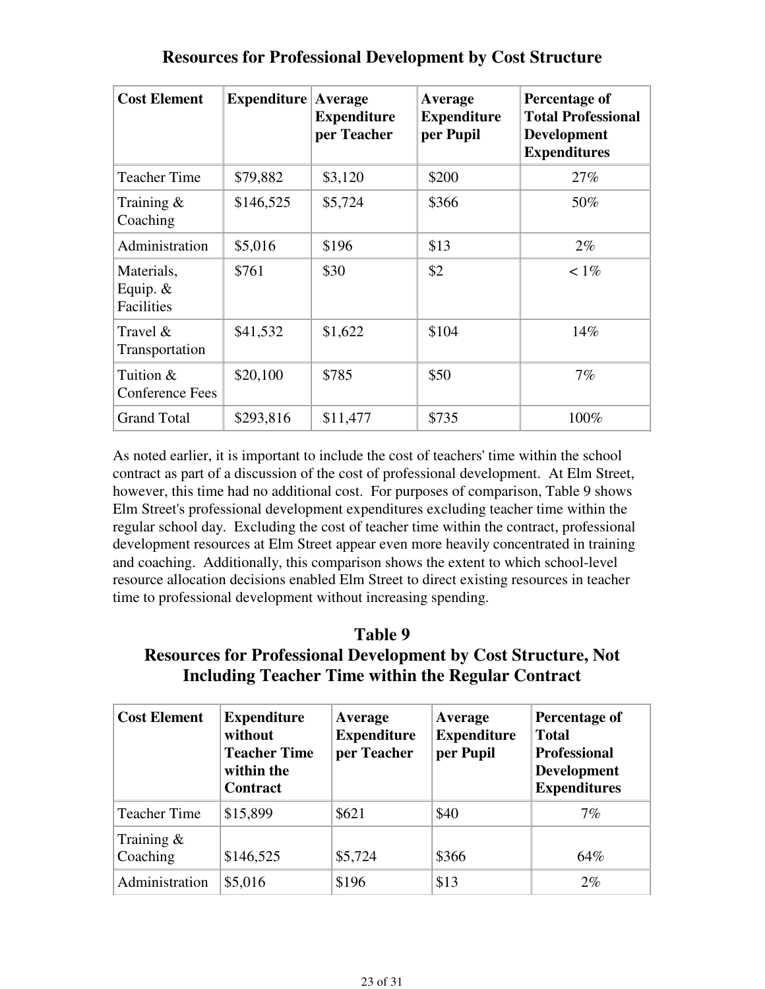| <b>Cost Element</b>                    | Expenditure | Average<br><b>Expenditure</b><br>per Teacher | Average<br><b>Expenditure</b><br>per Pupil | Percentage of<br><b>Total Professional</b><br><b>Development</b><br><b>Expenditures</b> |
|----------------------------------------|-------------|----------------------------------------------|--------------------------------------------|-----------------------------------------------------------------------------------------|
| Teacher Time                           | \$79,882    | \$3,120                                      | \$200                                      | 27%                                                                                     |
| Training $\&$<br>Coaching              | \$146,525   | \$5,724                                      | \$366                                      | 50%                                                                                     |
| Administration                         | \$5,016     | \$196                                        | \$13                                       | $2\%$                                                                                   |
| Materials,<br>Equip. $&$<br>Facilities | \$761       | \$30                                         | \$2                                        | $< 1\%$                                                                                 |
| Travel &<br>Transportation             | \$41,532    | \$1,622                                      | \$104                                      | 14%                                                                                     |
| Tuition &<br>Conference Fees           | \$20,100    | \$785                                        | \$50                                       | 7%                                                                                      |
| <b>Grand Total</b>                     | \$293,816   | \$11,477                                     | \$735                                      | 100%                                                                                    |

## **Resources for Professional Development by Cost Structure**

As noted earlier, it is important to include the cost of teachers' time within the school contract as part of a discussion of the cost of professional development. At Elm Street, however, this time had no additional cost. For purposes of comparison, Table 9 shows Elm Street's professional development expenditures excluding teacher time within the regular school day. Excluding the cost of teacher time within the contract, professional development resources at Elm Street appear even more heavily concentrated in training and coaching. Additionally, this comparison shows the extent to which school-level resource allocation decisions enabled Elm Street to direct existing resources in teacher time to professional development without increasing spending.

### **Table 9 Resources for Professional Development by Cost Structure, Not Including Teacher Time within the Regular Contract**

| <b>Cost Element</b>       | <b>Expenditure</b><br>without<br><b>Teacher Time</b><br>within the<br><b>Contract</b> | Average<br><b>Expenditure</b><br>per Teacher | Average<br><b>Expenditure</b><br>per Pupil | Percentage of<br><b>Total</b><br><b>Professional</b><br><b>Development</b><br><b>Expenditures</b> |
|---------------------------|---------------------------------------------------------------------------------------|----------------------------------------------|--------------------------------------------|---------------------------------------------------------------------------------------------------|
| <b>Teacher Time</b>       | \$15,899                                                                              | \$621                                        | \$40                                       | $7\%$                                                                                             |
| Training $\&$<br>Coaching | \$146,525                                                                             | \$5,724                                      | \$366                                      | 64%                                                                                               |
| Administration            | \$5,016                                                                               | \$196                                        | \$13                                       | $2\%$                                                                                             |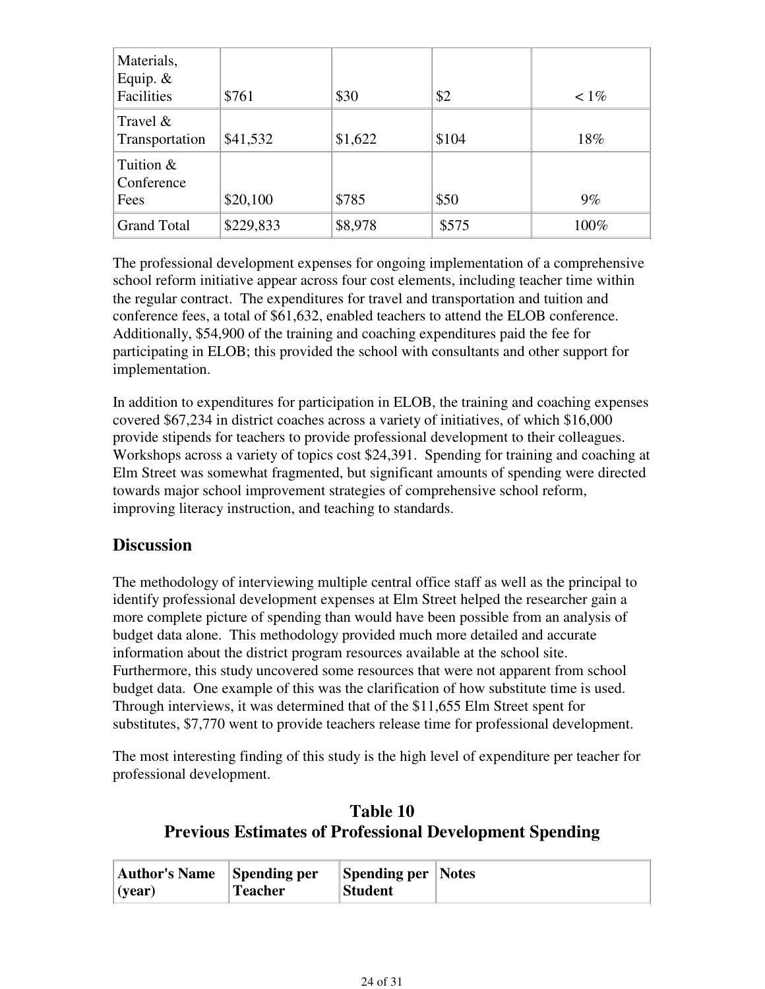| Materials,<br>Equip. $&$<br>Facilities | \$761     | \$30    | \$2   | $< 1\%$ |
|----------------------------------------|-----------|---------|-------|---------|
| Travel $&$<br>Transportation           | \$41,532  | \$1,622 | \$104 | 18%     |
| Tuition &<br>Conference<br>Fees        | \$20,100  | \$785   | \$50  | $9\%$   |
| <b>Grand Total</b>                     | \$229,833 | \$8,978 | \$575 | 100%    |

The professional development expenses for ongoing implementation of a comprehensive school reform initiative appear across four cost elements, including teacher time within the regular contract. The expenditures for travel and transportation and tuition and conference fees, a total of \$61,632, enabled teachers to attend the ELOB conference. Additionally, \$54,900 of the training and coaching expenditures paid the fee for participating in ELOB; this provided the school with consultants and other support for implementation.

In addition to expenditures for participation in ELOB, the training and coaching expenses covered \$67,234 in district coaches across a variety of initiatives, of which \$16,000 provide stipends for teachers to provide professional development to their colleagues. Workshops across a variety of topics cost \$24,391. Spending for training and coaching at Elm Street was somewhat fragmented, but significant amounts of spending were directed towards major school improvement strategies of comprehensive school reform, improving literacy instruction, and teaching to standards.

### **Discussion**

The methodology of interviewing multiple central office staff as well as the principal to identify professional development expenses at Elm Street helped the researcher gain a more complete picture of spending than would have been possible from an analysis of budget data alone. This methodology provided much more detailed and accurate information about the district program resources available at the school site. Furthermore, this study uncovered some resources that were not apparent from school budget data. One example of this was the clarification of how substitute time is used. Through interviews, it was determined that of the \$11,655 Elm Street spent for substitutes, \$7,770 went to provide teachers release time for professional development.

The most interesting finding of this study is the high level of expenditure per teacher for professional development.

## **Table 10 Previous Estimates of Professional Development Spending**

| <b>Author's Name</b> | Spending per   | <b>Spending per Notes</b> |  |
|----------------------|----------------|---------------------------|--|
| $\vert$ (year)       | <b>Teacher</b> | <b>Student</b>            |  |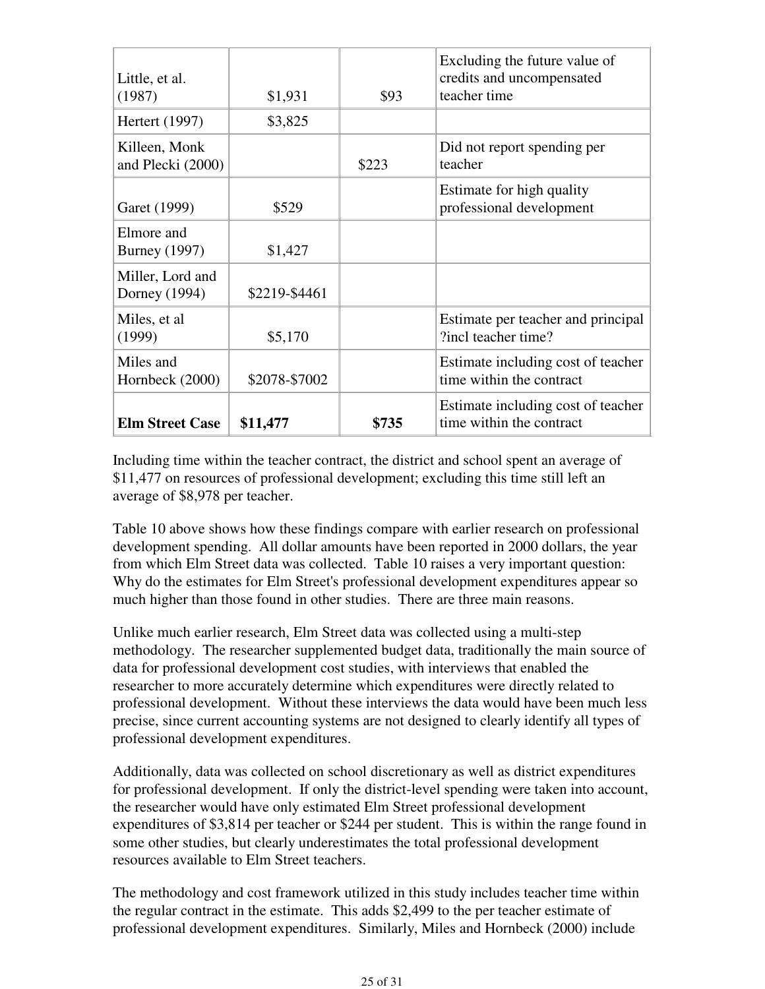| Little, et al.<br>(1987)           | \$1,931       | \$93  | Excluding the future value of<br>credits and uncompensated<br>teacher time |
|------------------------------------|---------------|-------|----------------------------------------------------------------------------|
| Hertert (1997)                     | \$3,825       |       |                                                                            |
| Killeen, Monk<br>and Plecki (2000) |               | \$223 | Did not report spending per<br>teacher                                     |
| Garet (1999)                       | \$529         |       | Estimate for high quality<br>professional development                      |
| Elmore and<br><b>Burney</b> (1997) | \$1,427       |       |                                                                            |
| Miller, Lord and<br>Dorney (1994)  | \$2219-\$4461 |       |                                                                            |
| Miles, et al.<br>(1999)            | \$5,170       |       | Estimate per teacher and principal<br>?incl teacher time?                  |
| Miles and<br>Hornbeck (2000)       | \$2078-\$7002 |       | Estimate including cost of teacher<br>time within the contract             |
| <b>Elm Street Case</b>             | \$11,477      | \$735 | Estimate including cost of teacher<br>time within the contract             |

Including time within the teacher contract, the district and school spent an average of \$11,477 on resources of professional development; excluding this time still left an average of \$8,978 per teacher.

Table 10 above shows how these findings compare with earlier research on professional development spending. All dollar amounts have been reported in 2000 dollars, the year from which Elm Street data was collected. Table 10 raises a very important question: Why do the estimates for Elm Street's professional development expenditures appear so much higher than those found in other studies. There are three main reasons.

Unlike much earlier research, Elm Street data was collected using a multi-step methodology. The researcher supplemented budget data, traditionally the main source of data for professional development cost studies, with interviews that enabled the researcher to more accurately determine which expenditures were directly related to professional development. Without these interviews the data would have been much less precise, since current accounting systems are not designed to clearly identify all types of professional development expenditures.

Additionally, data was collected on school discretionary as well as district expenditures for professional development. If only the district-level spending were taken into account, the researcher would have only estimated Elm Street professional development expenditures of \$3,814 per teacher or \$244 per student. This is within the range found in some other studies, but clearly underestimates the total professional development resources available to Elm Street teachers.

The methodology and cost framework utilized in this study includes teacher time within the regular contract in the estimate. This adds \$2,499 to the per teacher estimate of professional development expenditures. Similarly, Miles and Hornbeck (2000) include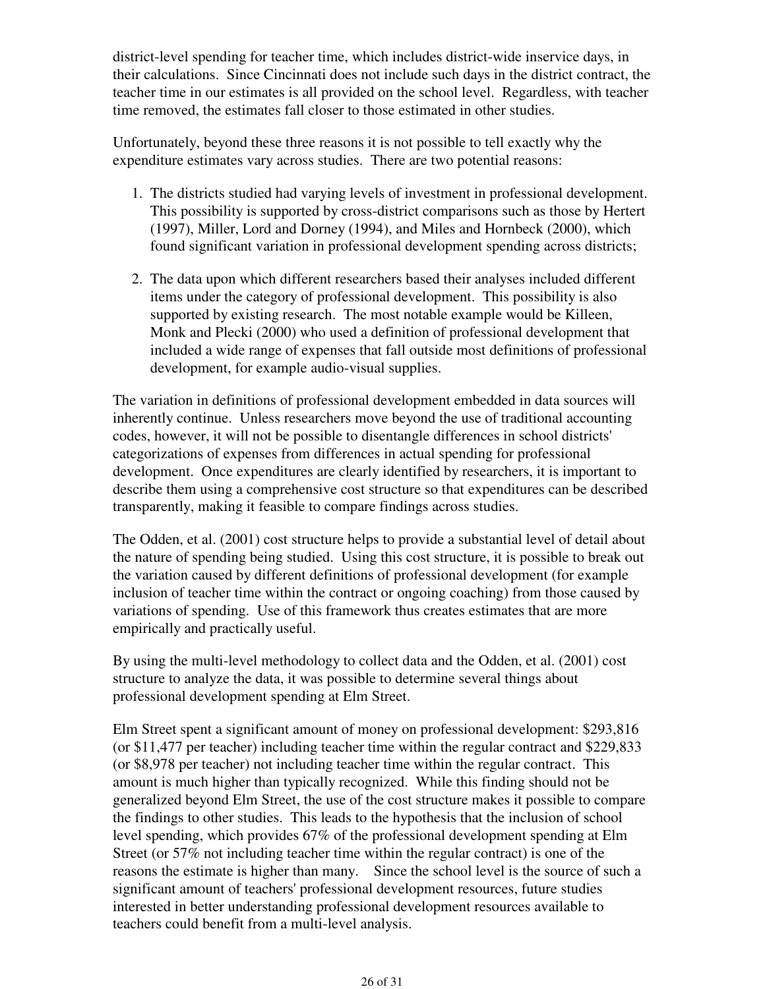district-level spending for teacher time, which includes district-wide inservice days, in their calculations. Since Cincinnati does not include such days in the district contract, the teacher time in our estimates is all provided on the school level. Regardless, with teacher time removed, the estimates fall closer to those estimated in other studies.

Unfortunately, beyond these three reasons it is not possible to tell exactly why the expenditure estimates vary across studies. There are two potential reasons:

- 1. The districts studied had varying levels of investment in professional development. This possibility is supported by cross-district comparisons such as those by Hertert (1997), Miller, Lord and Dorney (1994), and Miles and Hornbeck (2000), which found significant variation in professional development spending across districts;
- The data upon which different researchers based their analyses included different 2. items under the category of professional development. This possibility is also supported by existing research. The most notable example would be Killeen, Monk and Plecki (2000) who used a definition of professional development that included a wide range of expenses that fall outside most definitions of professional development, for example audio-visual supplies.

The variation in definitions of professional development embedded in data sources will inherently continue. Unless researchers move beyond the use of traditional accounting codes, however, it will not be possible to disentangle differences in school districts' categorizations of expenses from differences in actual spending for professional development. Once expenditures are clearly identified by researchers, it is important to describe them using a comprehensive cost structure so that expenditures can be described transparently, making it feasible to compare findings across studies.

The Odden, et al. (2001) cost structure helps to provide a substantial level of detail about the nature of spending being studied. Using this cost structure, it is possible to break out the variation caused by different definitions of professional development (for example inclusion of teacher time within the contract or ongoing coaching) from those caused by variations of spending. Use of this framework thus creates estimates that are more empirically and practically useful.

By using the multi-level methodology to collect data and the Odden, et al. (2001) cost structure to analyze the data, it was possible to determine several things about professional development spending at Elm Street.

Elm Street spent a significant amount of money on professional development: \$293,816 (or \$11,477 per teacher) including teacher time within the regular contract and \$229,833 (or \$8,978 per teacher) not including teacher time within the regular contract. This amount is much higher than typically recognized. While this finding should not be generalized beyond Elm Street, the use of the cost structure makes it possible to compare the findings to other studies. This leads to the hypothesis that the inclusion of school level spending, which provides 67% of the professional development spending at Elm Street (or 57% not including teacher time within the regular contract) is one of the reasons the estimate is higher than many. Since the school level is the source of such a significant amount of teachers' professional development resources, future studies interested in better understanding professional development resources available to teachers could benefit from a multi-level analysis.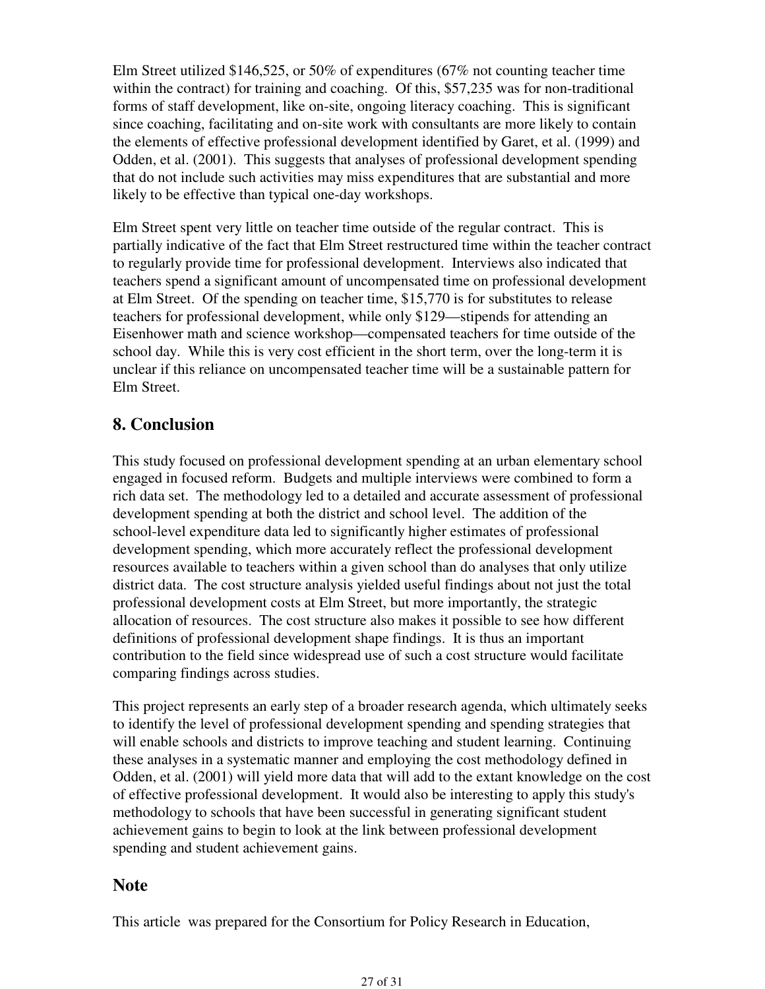Elm Street utilized \$146,525, or 50% of expenditures (67% not counting teacher time within the contract) for training and coaching. Of this, \$57,235 was for non-traditional forms of staff development, like on-site, ongoing literacy coaching. This is significant since coaching, facilitating and on-site work with consultants are more likely to contain the elements of effective professional development identified by Garet, et al. (1999) and Odden, et al. (2001). This suggests that analyses of professional development spending that do not include such activities may miss expenditures that are substantial and more likely to be effective than typical one-day workshops.

Elm Street spent very little on teacher time outside of the regular contract. This is partially indicative of the fact that Elm Street restructured time within the teacher contract to regularly provide time for professional development. Interviews also indicated that teachers spend a significant amount of uncompensated time on professional development at Elm Street. Of the spending on teacher time, \$15,770 is for substitutes to release teachers for professional development, while only \$129—stipends for attending an Eisenhower math and science workshop—compensated teachers for time outside of the school day. While this is very cost efficient in the short term, over the long-term it is unclear if this reliance on uncompensated teacher time will be a sustainable pattern for Elm Street.

## **8. Conclusion**

This study focused on professional development spending at an urban elementary school engaged in focused reform. Budgets and multiple interviews were combined to form a rich data set. The methodology led to a detailed and accurate assessment of professional development spending at both the district and school level. The addition of the school-level expenditure data led to significantly higher estimates of professional development spending, which more accurately reflect the professional development resources available to teachers within a given school than do analyses that only utilize district data. The cost structure analysis yielded useful findings about not just the total professional development costs at Elm Street, but more importantly, the strategic allocation of resources. The cost structure also makes it possible to see how different definitions of professional development shape findings. It is thus an important contribution to the field since widespread use of such a cost structure would facilitate comparing findings across studies.

This project represents an early step of a broader research agenda, which ultimately seeks to identify the level of professional development spending and spending strategies that will enable schools and districts to improve teaching and student learning. Continuing these analyses in a systematic manner and employing the cost methodology defined in Odden, et al. (2001) will yield more data that will add to the extant knowledge on the cost of effective professional development. It would also be interesting to apply this study's methodology to schools that have been successful in generating significant student achievement gains to begin to look at the link between professional development spending and student achievement gains.

### **Note**

This article was prepared for the Consortium for Policy Research in Education,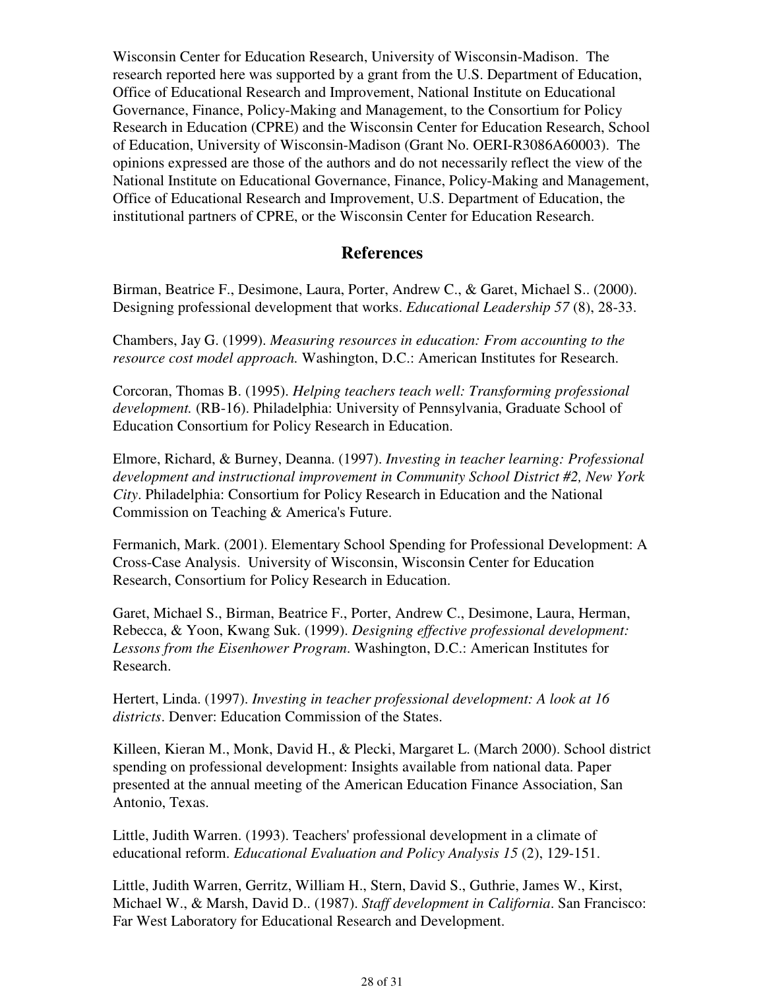Wisconsin Center for Education Research, University of Wisconsin-Madison. The research reported here was supported by a grant from the U.S. Department of Education, Office of Educational Research and Improvement, National Institute on Educational Governance, Finance, Policy-Making and Management, to the Consortium for Policy Research in Education (CPRE) and the Wisconsin Center for Education Research, School of Education, University of Wisconsin-Madison (Grant No. OERI-R3086A60003). The opinions expressed are those of the authors and do not necessarily reflect the view of the National Institute on Educational Governance, Finance, Policy-Making and Management, Office of Educational Research and Improvement, U.S. Department of Education, the institutional partners of CPRE, or the Wisconsin Center for Education Research.

#### **References**

Birman, Beatrice F., Desimone, Laura, Porter, Andrew C., & Garet, Michael S.. (2000). Designing professional development that works. *Educational Leadership 57* (8), 28-33.

Chambers, Jay G. (1999). *Measuring resources in education: From accounting to the resource cost model approach.* Washington, D.C.: American Institutes for Research.

Corcoran, Thomas B. (1995). *Helping teachers teach well: Transforming professional development.* (RB-16). Philadelphia: University of Pennsylvania, Graduate School of Education Consortium for Policy Research in Education.

Elmore, Richard, & Burney, Deanna. (1997). *Investing in teacher learning: Professional development and instructional improvement in Community School District #2, New York City*. Philadelphia: Consortium for Policy Research in Education and the National Commission on Teaching & America's Future.

Fermanich, Mark. (2001). Elementary School Spending for Professional Development: A Cross-Case Analysis. University of Wisconsin, Wisconsin Center for Education Research, Consortium for Policy Research in Education.

Garet, Michael S., Birman, Beatrice F., Porter, Andrew C., Desimone, Laura, Herman, Rebecca, & Yoon, Kwang Suk. (1999). *Designing effective professional development: Lessons from the Eisenhower Program*. Washington, D.C.: American Institutes for Research.

Hertert, Linda. (1997). *Investing in teacher professional development: A look at 16 districts*. Denver: Education Commission of the States.

Killeen, Kieran M., Monk, David H., & Plecki, Margaret L. (March 2000). School district spending on professional development: Insights available from national data. Paper presented at the annual meeting of the American Education Finance Association, San Antonio, Texas.

Little, Judith Warren. (1993). Teachers' professional development in a climate of educational reform. *Educational Evaluation and Policy Analysis 15* (2), 129-151.

Little, Judith Warren, Gerritz, William H., Stern, David S., Guthrie, James W., Kirst, Michael W., & Marsh, David D.. (1987). *Staff development in California*. San Francisco: Far West Laboratory for Educational Research and Development.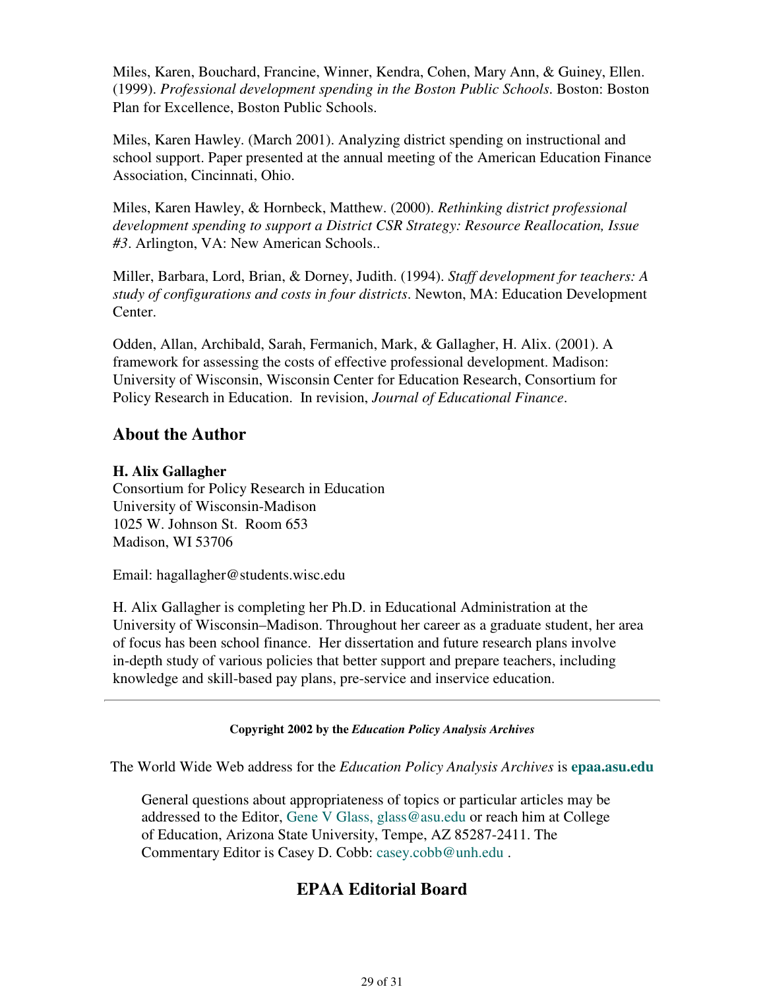Miles, Karen, Bouchard, Francine, Winner, Kendra, Cohen, Mary Ann, & Guiney, Ellen. (1999). *Professional development spending in the Boston Public Schools*. Boston: Boston Plan for Excellence, Boston Public Schools.

Miles, Karen Hawley. (March 2001). Analyzing district spending on instructional and school support. Paper presented at the annual meeting of the American Education Finance Association, Cincinnati, Ohio.

Miles, Karen Hawley, & Hornbeck, Matthew. (2000). *Rethinking district professional development spending to support a District CSR Strategy: Resource Reallocation, Issue #3*. Arlington, VA: New American Schools..

Miller, Barbara, Lord, Brian, & Dorney, Judith. (1994). *Staff development for teachers: A study of configurations and costs in four districts*. Newton, MA: Education Development Center.

Odden, Allan, Archibald, Sarah, Fermanich, Mark, & Gallagher, H. Alix. (2001). A framework for assessing the costs of effective professional development. Madison: University of Wisconsin, Wisconsin Center for Education Research, Consortium for Policy Research in Education. In revision, *Journal of Educational Finance*.

### **About the Author**

#### **H. Alix Gallagher**

Consortium for Policy Research in Education University of Wisconsin-Madison 1025 W. Johnson St. Room 653 Madison, WI 53706

Email: hagallagher@students.wisc.edu

H. Alix Gallagher is completing her Ph.D. in Educational Administration at the University of Wisconsin–Madison. Throughout her career as a graduate student, her area of focus has been school finance. Her dissertation and future research plans involve in-depth study of various policies that better support and prepare teachers, including knowledge and skill-based pay plans, pre-service and inservice education.

#### **Copyright 2002 by the** *Education Policy Analysis Archives*

The World Wide Web address for the *Education Policy Analysis Archives* is **epaa.asu.edu**

General questions about appropriateness of topics or particular articles may be addressed to the Editor, Gene V Glass, glass@asu.edu or reach him at College of Education, Arizona State University, Tempe, AZ 85287-2411. The Commentary Editor is Casey D. Cobb: casey.cobb@unh.edu .

### **EPAA Editorial Board**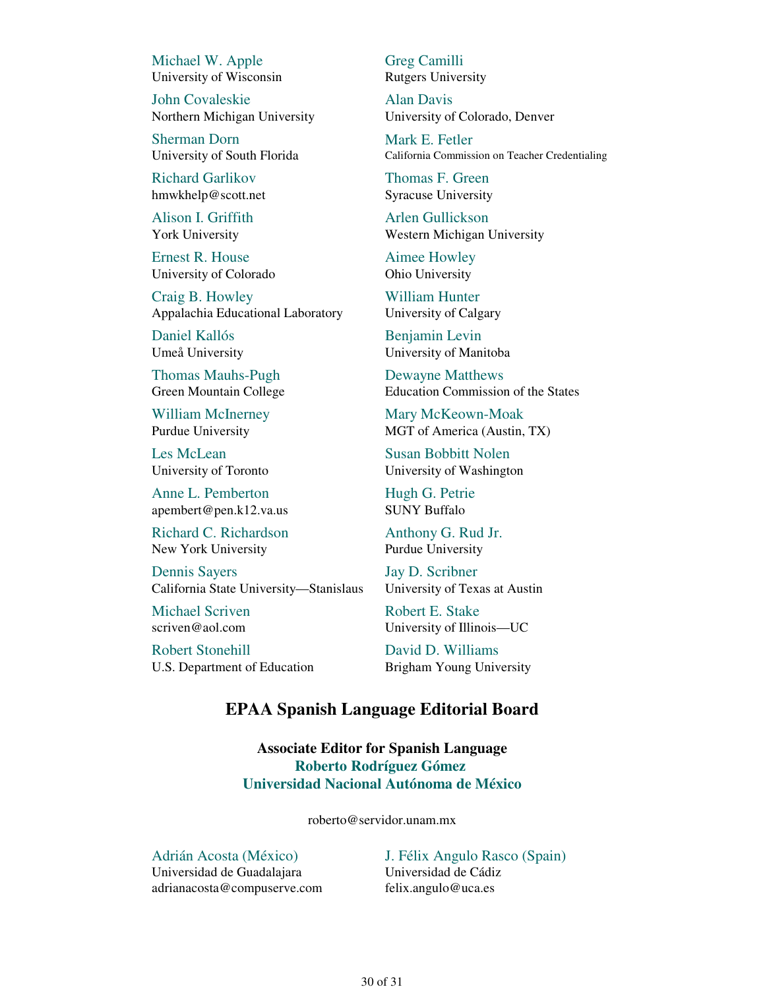Michael W. Apple University of Wisconsin

John Covaleskie Northern Michigan University

Sherman Dorn University of South Florida

Richard Garlikov hmwkhelp@scott.net

Alison I. Griffith York University

Ernest R. House University of Colorado

Craig B. Howley Appalachia Educational Laboratory

Daniel Kallós Umeå University

Thomas Mauhs-Pugh Green Mountain College

William McInerney Purdue University

Les McLean University of Toronto

Anne L. Pemberton apembert@pen.k12.va.us

Richard C. Richardson New York University

Dennis Sayers California State University—Stanislaus

Michael Scriven scriven@aol.com

Robert Stonehill U.S. Department of Education Greg Camilli Rutgers University

Alan Davis University of Colorado, Denver

Mark E. Fetler California Commission on Teacher Credentialing

Thomas F. Green Syracuse University

Arlen Gullickson Western Michigan University

Aimee Howley Ohio University

William Hunter University of Calgary

Benjamin Levin University of Manitoba

Dewayne Matthews Education Commission of the States

Mary McKeown-Moak MGT of America (Austin, TX)

Susan Bobbitt Nolen University of Washington

Hugh G. Petrie SUNY Buffalo

Anthony G. Rud Jr. Purdue University

Jay D. Scribner University of Texas at Austin

Robert E. Stake University of Illinois—UC

David D. Williams Brigham Young University

### **EPAA Spanish Language Editorial Board**

**Associate Editor for Spanish Language Roberto Rodríguez Gómez Universidad Nacional Autónoma de México**

roberto@servidor.unam.mx

Adrián Acosta (México) Universidad de Guadalajara adrianacosta@compuserve.com

J. Félix Angulo Rasco (Spain) Universidad de Cádiz felix.angulo@uca.es